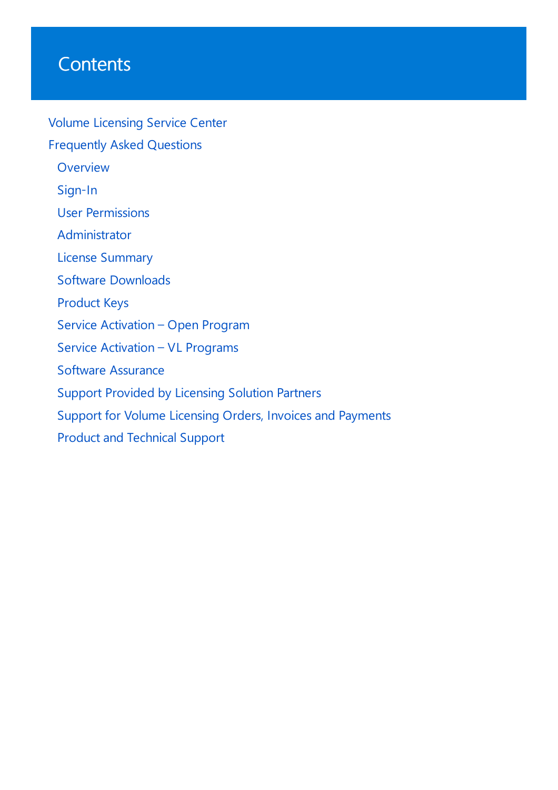# **Contents**

Volume [Licensing](#page-1-0) Service Center Frequently Asked Questions **[Overview](#page-2-0)** [Sign-In](#page-4-0) User [Permissions](#page-7-0) [Administrator](#page-12-0) License [Summary](#page-18-0) Software [Downloads](#page-26-0) [Product](#page-32-0) Keys Service [Activation](#page-38-0) – Open Program Service [Activation](#page-40-0) – VL Programs Software [Assurance](#page-44-0) Support Provided by [Licensing](#page-47-0) Solution Partners Support for Volume Licensing Orders, Invoices and Payments Product and Technical Support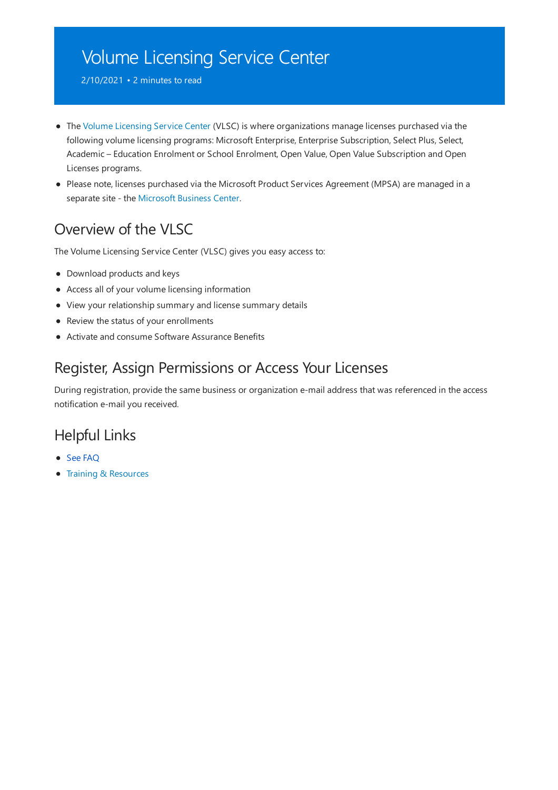# <span id="page-1-0"></span>Volume Licensing Service Center

2/10/2021 • 2 minutes to read

- The Volume Licensing Service Center (VLSC) is where organizations manage licenses purchased via the following volume licensing programs: Microsoft Enterprise, Enterprise Subscription, Select Plus, Select, Academic – Education Enrolment or School Enrolment, Open Value, Open Value Subscription and Open Licenses programs.
- Please note, licenses purchased via the Microsoft Product Services Agreement (MPSA) are managed in a separate site - the [Microsoft](https://businessaccount.microsoft.com/customer) Business Center.

# Overview of the VLSC

The Volume Licensing Service Center (VLSC) gives you easy access to:

- Download products and keys
- Access all of your volume licensing information
- View your relationship summary and license summary details
- Review the status of your enrollments
- Activate and consume Software Assurance Benefits

#### Register, Assign Permissions or Access Your Licenses

During registration, provide the same business or organization e-mail address that was referenced in the access notification e-mail you received.

#### Helpful Links

- See FAQ
- **•** Training & [Resources](https://go.microsoft.com/fwlink/?linkid=867987)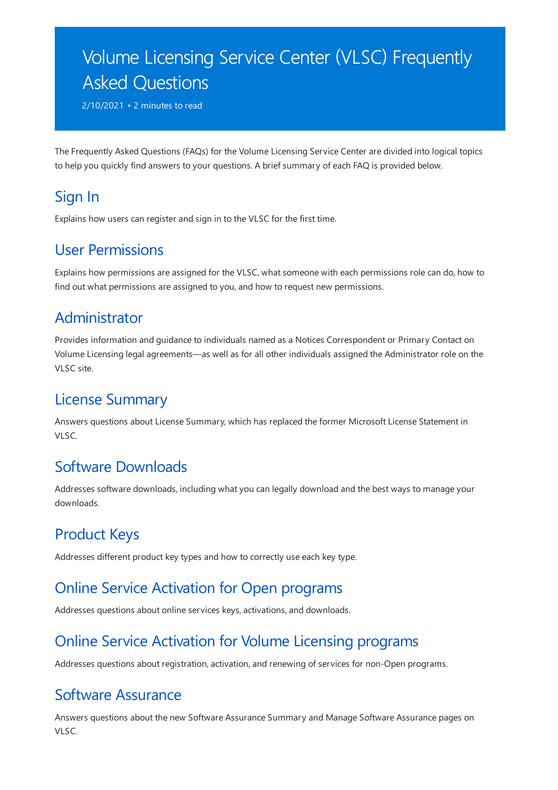# <span id="page-2-0"></span>Volume Licensing Service Center (VLSC) Frequently Asked Questions

2/10/2021 • 2 minutes to read

The Frequently Asked Questions (FAQs) for the Volume Licensing Service Center are divided into logical topics to help you quickly find answers to your questions. A brief summary of each FAQ is provided below.

#### [Sign](#page-4-0) In

Explains how users can register and sign in to the VLSC for the first time.

#### User [Permissions](#page-7-0)

Explains how permissions are assigned for the VLSC, what someone with each permissions role can do, how to find out what permissions are assigned to you, and how to request new permissions.

#### [Administrator](#page-12-0)

Provides information and guidance to individuals named as a Notices Correspondent or Primary Contact on VolumeLicensing legal agreements—as well as for all other individuals assigned the Administrator role on the VLSC site.

#### **License Summary**

Answers questions about License Summary, which has replaced the former Microsoft License Statement in VLSC.

#### Software [Downloads](#page-26-0)

Addresses software downloads, including what you can legally download and the best ways to manage your downloads.

### [Product](#page-32-0) Keys

Addresses different product key types and how to correctly use each key type.

#### Online Service Activation for Open programs

Addresses questions about online services keys, activations, and downloads.

# Online Service Activation for Volume Licensing programs

Addresses questions about registration, activation, and renewing of services for non-Open programs.

#### Software [Assurance](#page-44-0)

Answers questions about the new Software Assurance Summary and Manage Software Assurance pages on VLSC.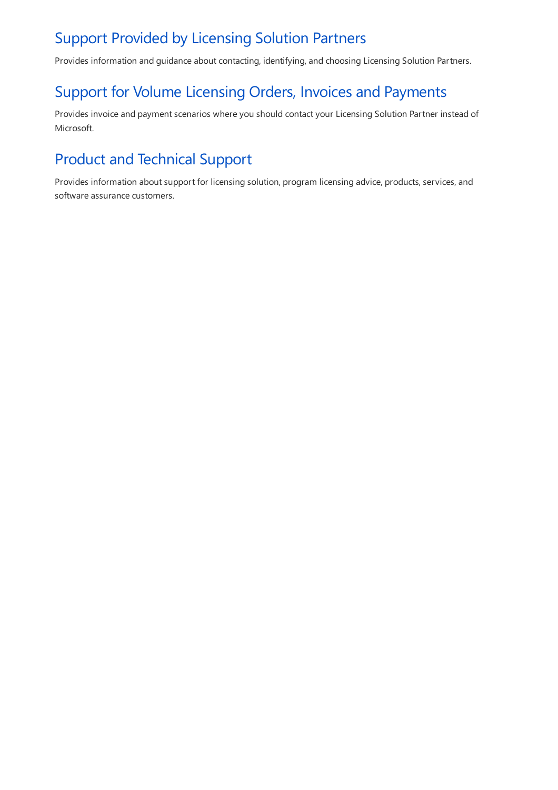#### Support Provided by [Licensing](#page-47-0) Solution Partners

Provides information and guidance about contacting, identifying, and choosing Licensing Solution Partners.

## Support for Volume Licensing Orders, Invoices and Payments

Provides invoice and payment scenarios where you should contact your Licensing Solution Partner instead of Microsoft.

# Product and Technical Support

Provides information about support for licensing solution, program licensing advice, products, services, and software assurance customers.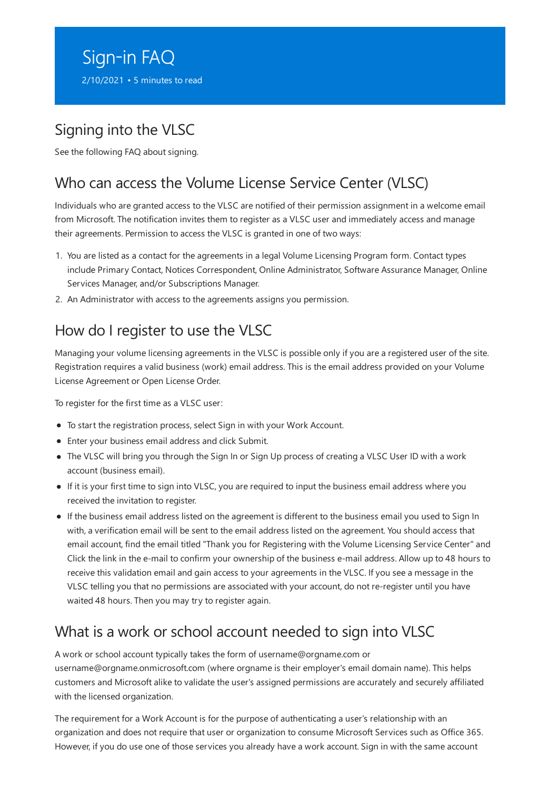# <span id="page-4-0"></span>Sign-in FAQ

2/10/2021 • 5 minutes to read

# Signing into the VLSC

See the following FAQ about signing.

# Who can access the Volume License Service Center (VLSC)

Individuals who are granted access to the VLSC are notified of their permission assignment in a welcome email from Microsoft. The notification invites them to register as a VLSC user and immediately access and manage their agreements. Permission to access the VLSC is granted in one of two ways:

- 1. You are listed as a contact for the agreements in a legal Volume Licensing Program form. Contact types include Primary Contact, Notices Correspondent, Online Administrator, Software Assurance Manager, Online Services Manager, and/or Subscriptions Manager.
- 2. An Administrator with access to the agreements assigns you permission.

### How do I register to use the VLSC

Managing your volume licensing agreements in the VLSC is possible only if you are a registered user of the site. Registration requires a valid business (work) email address. This is the email address provided on your Volume License Agreement or Open License Order.

To register for the first time as a VLSC user:

- To start the registration process, select Sign in with your Work Account.
- Enter your business email address and click Submit.
- The VLSC will bring you through the Sign In or Sign Up process of creating a VLSC User ID with a work account (business email).
- If it is your first time to sign into VLSC, you are required to input the business email address where you received the invitation to register.
- If the business email address listed on the agreement is different to the business email you used to Sign In with, a verification email will be sent to the email address listed on the agreement. You should access that email account, find the email titled "Thank you for Registering with the Volume Licensing Service Center" and Click thelink in thee-mail to confirm your ownership of the business e-mail address. Allow up to 48 hours to receive this validation email and gain access to your agreements in the VLSC. If you see a message in the VLSC telling you that no permissions are associated with your account, do not re-register until you have waited 48 hours. Then you may try to register again.

### What is a work or school account needed to sign into VLSC

A work or school account typically takes the form of username@orgname.com or username@orgname.onmicrosoft.com (where orgname is their employer's email domain name). This helps customers and Microsoft alike to validate the user's assigned permissions are accurately and securely affiliated with the licensed organization.

The requirement for a Work Account is for the purpose of authenticating a user's relationship with an organization and does not require that user or organization to consume Microsoft Services such as Office 365. However, if you do use one of those services you already have a work account. Sign in with the same account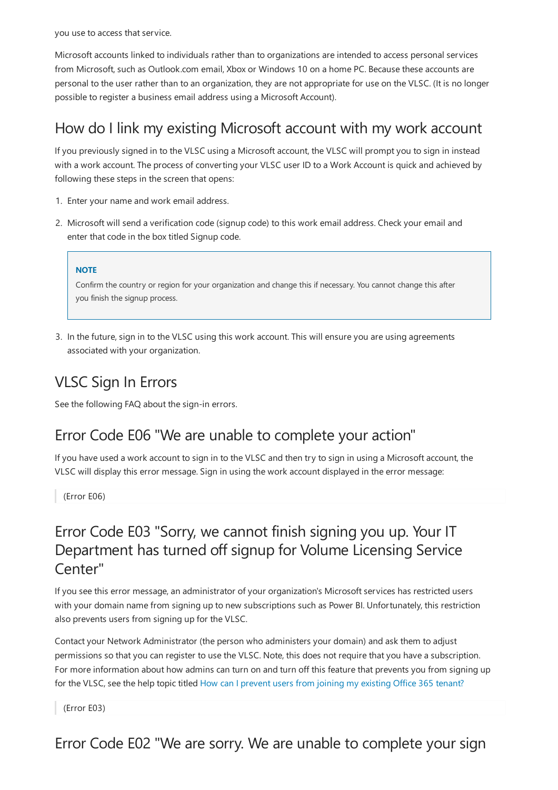you use to access that service.

Microsoft accounts linked to individuals rather than to organizations are intended to access personal services from Microsoft, such as Outlook.com email, Xbox or Windows 10 on a home PC. Because these accounts are personal to the user rather than to an organization, they are not appropriate for use on the VLSC. (It is no longer possible to register a business email address using a Microsoft Account).

#### How do I link my existing Microsoft account with my work account

If you previously signed in to the VLSC using a Microsoft account, the VLSC will prompt you to sign in instead with a work account. The process of converting your VLSC user ID to a Work Account is quick and achieved by following these steps in the screen that opens:

- 1. Enter your name and work email address.
- 2. Microsoft will send a verification code(signup code) to this work email address. Check your email and enter that code in the box titled Signup code.

#### **NOTE**

Confirm the country or region for your organization and change this if necessary. You cannot change this after you finish the signup process.

3. In the future, sign in to the VLSC using this work account. This will ensure you are using agreements associated with your organization.

# VLSC Sign In Errors

See the following FAQ about the sign-in errors.

#### Error Code E06 "We are unable to complete your action"

If you have used a work account to sign in to the VLSC and then try to sign in using a Microsoft account, the VLSC will display this error message. Sign in using the work account displayed in the error message:

(Error E06)

#### Error Code E03 "Sorry, we cannot finish signing you up. Your IT Department has turned off signup for Volume Licensing Service Center"

If you see this error message, an administrator of your organization's Microsoft services has restricted users with your domain name from signing up to new subscriptions such as Power BI. Unfortunately, this restriction also prevents users from signing up for the VLSC.

Contactyour Network Administrator (the person who administers your domain) and ask them to adjust permissions so that you can register to use the VLSC. Note, this does not require that you have a subscription. For more information about how admins can turn on and turn off this feature that prevents you from signing up for the VLSC, see the help topic titled How can I [prevent](https://support.office.com/article/d7941332-8aec-4e5e-87e8-92073ce73dc5?ui=en-US&rs=en-US&ad=US#bkmk_preventjoining) users from joining my existing Office 365 tenant?

(Error E03)

Error Code E02 "We are sorry. We are unable to complete your sign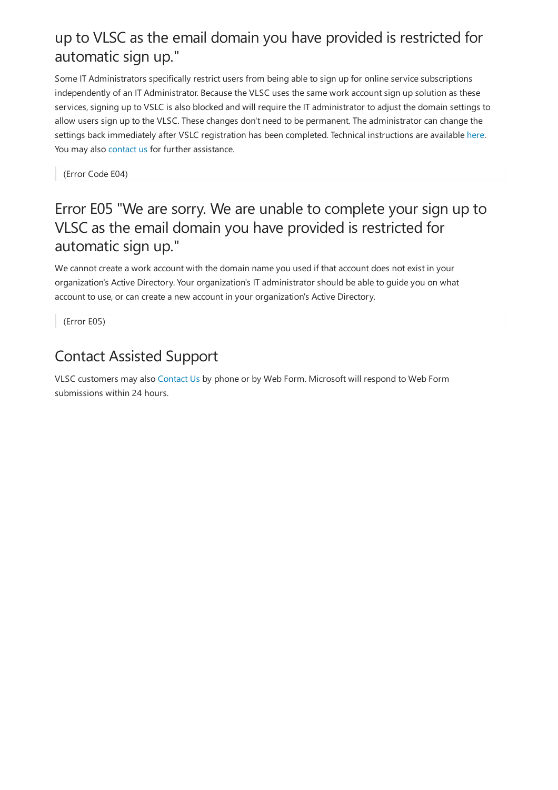### up to VLSC as the email domain you have provided is restricted for automatic sign up."

Some IT Administrators specifically restrict users from being able to sign up for online service subscriptions independently of an IT Administrator. Because the VLSC uses the same work account sign up solution as these services, signing up to VSLC is also blocked and will require the IT administrator to adjust the domain settings to allow users sign up to the VLSC. These changes don't need to be permanent. The administrator can change the settings back immediately after VSLC registration has been completed. Technical instructions are available [here](https://support.office.com/article/d7941332-8aec-4e5e-87e8-92073ce73dc5?ui=en-US&rs=en-US&ad=US#bkmk_preventjoining). You may also [contact](https://docs.microsoft.com/en-us/licensing/contact-us) us for further assistance.

(Error Code E04)

#### Error E05 "We are sorry. We are unable to complete your sign up to VLSC as the email domain you have provided is restricted for automatic sign up."

We cannot create a work account with the domain name you used if that account does not exist in your organization's Active Directory. Your organization's IT administrator should be able to guide you on what account to use, or can create a new account in your organization's Active Directory.

(Error E05)

# Contact Assisted Support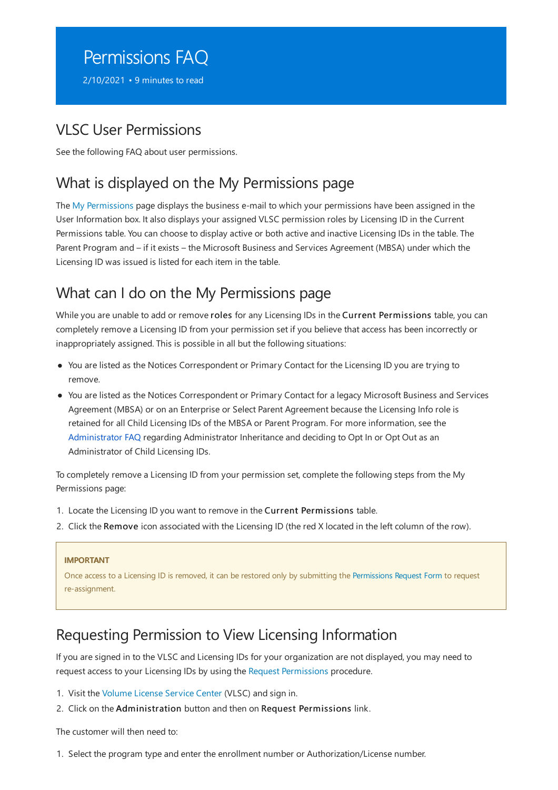# <span id="page-7-0"></span>Permissions FAQ

2/10/2021 • 9 minutes to read

#### VLSC User Permissions

See the following FAQ about user permissions.

### What is displayed on the My Permissions page

The My [Permissions](https://www.microsoft.com/Licensing/servicecenter/Administration/MyPermissions.aspx) page displays the business e-mail to which your permissions have been assigned in the User Information box. Italso displays your assigned VLSC permission roles by Licensing ID in the Current Permissions table. You can choose to display active or both active and inactive Licensing IDs in the table. The Parent Program and – if it exists – the Microsoft Business and Services Agreement (MBSA) under which the Licensing ID was issued is listed for each item in the table.

### What can I do on the My Permissions page

While you are unable to add or remove roles for any Licensing IDs in the Current Permissions table, you can completely remove a Licensing ID from your permission set if you believe that access has been incorrectly or inappropriately assigned. This is possible in all but the following situations:

- You are listed as the Notices Correspondent or Primary Contact for the Licensing ID you are trying to remove.
- You are listed as the Notices Correspondent or Primary Contact for a legacy Microsoft Business and Services Agreement (MBSA) or on an Enterprise or Select Parent Agreement because the Licensing Info role is retained for all Child Licensing IDs of the MBSA or Parent Program. For more information, see the [Administrator](#page-12-0) FAQ regarding Administrator Inheritance and deciding to Opt In or Opt Out as an Administrator of Child Licensing IDs.

To completely remove a Licensing ID from your permission set, complete the following steps from the My Permissions page:

- 1. Locate the Licensing ID you want to remove in the Current Permissions table.
- 2. Click the Remove icon associated with the Licensing ID (the red X located in the left column of the row).

#### **IMPORTANT**

Once access to a Licensing ID is removed, it can be restored only by submitting the [Permissions](https://www.microsoft.com/Licensing/servicecenter/Administration/RequestPermissions.aspx) Request Form to request re-assignment.

#### <span id="page-7-1"></span>Requesting Permission to View Licensing Information

If you are signed in to the VLSC and Licensing IDs for your organization are not displayed, you may need to request access to your Licensing IDs by using the Request [Permissions](#page-7-1) procedure.

- 1. Visit the Volume License Service Center (VLSC) and sign in.
- 2. Click on the Administration button and then on Request Permissions link.

The customer will then need to:

1. Select the program type and enter the enrollment number or Authorization/License number.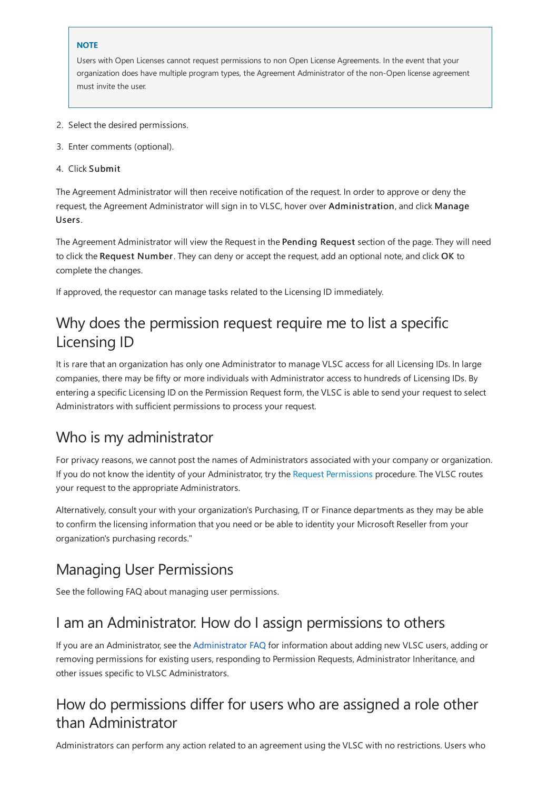#### **NOTE**

Users with Open Licenses cannot request permissions to non Open License Agreements. In the event that your organization does have multiple program types, the Agreement Administrator of the non-Open license agreement must invite the user.

- 2. Select the desired permissions.
- 3. Enter comments (optional).
- 4. Click Submit

The Agreement Administrator will then receive notification of the request. In order to approve or deny the request, the Agreement Administrator will sign in to VLSC, hover over Administration, and click Manage Users.

The Agreement Administrator will view the Request in the Pending Request section of the page. They will need to click the Request Number. They can deny or accept the request, add an optional note, and click OK to complete the changes.

If approved, the requestor can manage tasks related to the Licensing ID immediately.

#### Why does the permission request require me to list a specific Licensing ID

It is rare that an organization has only one Administrator to manage VLSC access for all Licensing IDs. In large companies, there may be fifty or more individuals with Administrator access to hundreds of Licensing IDs. By entering a specific Licensing ID on the Permission Request form, the VLSC is able to send your request to select Administrators with sufficient permissions to process your request.

#### Who is my administrator

For privacy reasons, wecannot post the names of Administrators associated with your company or organization. If you do not know the identity of your Administrator, try the Request [Permissions](#page-7-1) procedure. The VLSC routes your request to the appropriate Administrators.

Alternatively, consult your with your organization's Purchasing, IT or Finance departments as they may be able to confirm the licensing information that you need or be able to identity your Microsoft Reseller from your organization's purchasing records."

#### Managing User Permissions

See the following FAQ about managing user permissions.

#### Iam an Administrator. How do Iassign permissions to others

If you are an [Administrator](#page-12-0), see the Administrator FAQ for information about adding new VLSC users, adding or removing permissions for existing users, responding to Permission Requests, Administrator Inheritance, and other issues specific to VLSC Administrators.

#### How do permissions differ for users who are assigned a role other than Administrator

Administrators can perform any action related to an agreement using the VLSC with no restrictions. Users who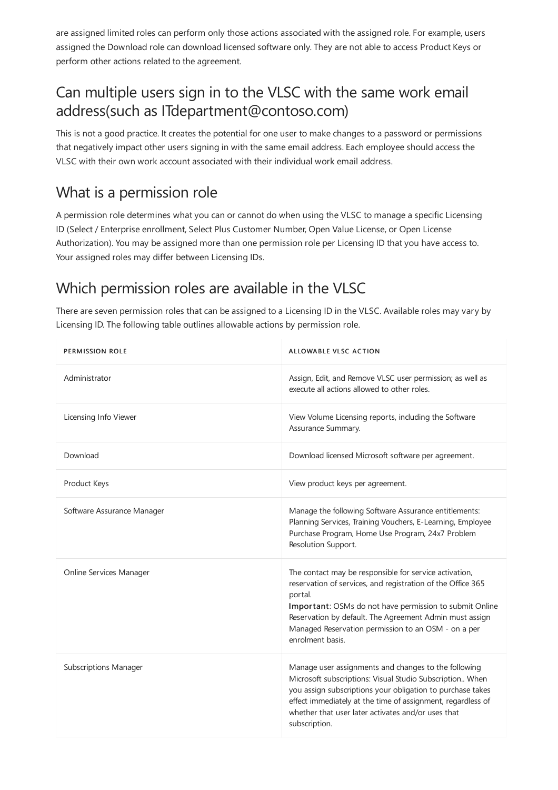are assigned limited roles can perform only those actions associated with the assigned role. For example, users assigned the Download rolecan download licensed software only.They are notableto access Product Keys or perform other actions related to the agreement.

### Can multiple users sign in to the VLSC with the same work email address(such as ITdepartment@contoso.com)

This is not a good practice. It creates the potential for one user to make changes to a password or permissions that negatively impact other users signing in with the same email address. Each employee should access the VLSC with their own work accountassociated with their individual work email address.

#### What is a permission role

A permission role determines what you can or cannot do when using the VLSC to manage a specific Licensing ID (Select / Enterprise enrollment, Select Plus Customer Number, Open Value License, or Open License Authorization). You may be assigned more than one permission role per Licensing ID that you have access to. Your assigned roles may differ between Licensing IDs.

# <span id="page-9-0"></span>Which permission roles are available in the VLSC

There are seven permission roles that can be assigned to a Licensing ID in the VLSC. Available roles may vary by Licensing ID. The following table outlines allowable actions by permission role.

| <b>PERMISSION ROLE</b>       | ALLOWABLE VLSC ACTION                                                                                                                                                                                                                                                                                                             |
|------------------------------|-----------------------------------------------------------------------------------------------------------------------------------------------------------------------------------------------------------------------------------------------------------------------------------------------------------------------------------|
| Administrator                | Assign, Edit, and Remove VLSC user permission; as well as<br>execute all actions allowed to other roles.                                                                                                                                                                                                                          |
| Licensing Info Viewer        | View Volume Licensing reports, including the Software<br>Assurance Summary.                                                                                                                                                                                                                                                       |
| Download                     | Download licensed Microsoft software per agreement.                                                                                                                                                                                                                                                                               |
| Product Keys                 | View product keys per agreement.                                                                                                                                                                                                                                                                                                  |
| Software Assurance Manager   | Manage the following Software Assurance entitlements:<br>Planning Services, Training Vouchers, E-Learning, Employee<br>Purchase Program, Home Use Program, 24x7 Problem<br>Resolution Support.                                                                                                                                    |
| Online Services Manager      | The contact may be responsible for service activation,<br>reservation of services, and registration of the Office 365<br>portal.<br>Important: OSMs do not have permission to submit Online<br>Reservation by default. The Agreement Admin must assign<br>Managed Reservation permission to an OSM - on a per<br>enrolment basis. |
| <b>Subscriptions Manager</b> | Manage user assignments and changes to the following<br>Microsoft subscriptions: Visual Studio Subscription When<br>you assign subscriptions your obligation to purchase takes<br>effect immediately at the time of assignment, regardless of<br>whether that user later activates and/or uses that<br>subscription.              |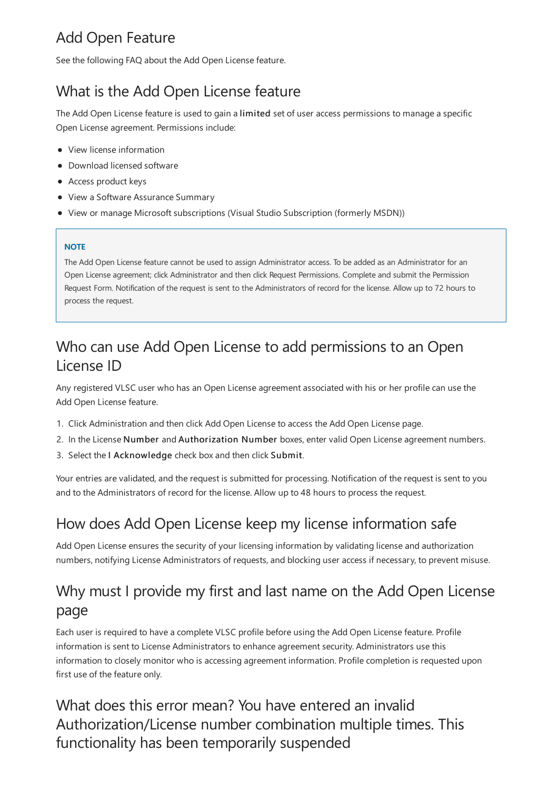# Add Open Feature

See the following FAQ about the Add Open License feature.

# What is the Add Open License feature

The Add Open License feature is used to gain a limited set of user access permissions to manage a specific Open License agreement. Permissions include:

- View license information
- Download licensed software
- $\bullet$  Access product keys
- View a Software Assurance Summary
- View or manage Microsoft subscriptions (Visual Studio Subscription (formerly MSDN))

#### **NOTE**

The Add Open License feature cannot be used to assign Administrator access. To be added as an Administrator for an Open License agreement; click Administrator and then click Request Permissions. Complete and submit the Permission Request Form. Notification of the request is sent to the Administrators of record for the license. Allow up to 72 hours to process the request.

### Who can use Add Open License to add permissions to an Open LicenseID

Any registered VLSC user who has an Open License agreement associated with his or her profile can use the Add Open License feature.

- 1. Click Administration and then click Add Open Licenseto access the Add Open License page.
- 2. In the License Number and Authorization Number boxes, enter valid Open License agreement numbers.
- 3. Select the I Acknowledge check box and then click Submit.

Your entries are validated, and the request is submitted for processing. Notification of the request is sent to you and to the Administrators of record for thelicense. Allow up to 48 hours to process therequest.

### How does Add Open License keep my license information safe

Add Open License ensures the security of your licensing information by validating license and authorization numbers, notifying License Administrators of requests, and blocking user access if necessary, to prevent misuse.

# Why must I provide my first and last name on the Add Open License page

Each user is required to have a complete VLSC profile before using the Add Open License feature. Profile information is sent to License Administrators to enhance agreement security. Administrators use this information to closely monitor who is accessing agreement information. Profile completion is requested upon first use of the feature only.

#### What does this error mean? You have entered an invalid Authorization/License number combination multiple times. This functionality has been temporarily suspended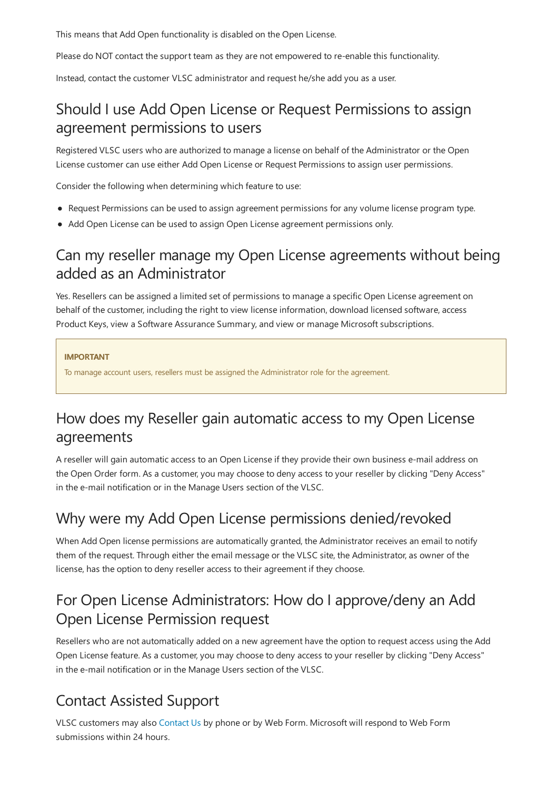This means that Add Open functionality is disabled on the Open License.

Please do NOT contact the support team as they are not empowered to re-enable this functionality.

Instead, contact the customer VLSC administrator and request he/she add you as a user.

### Should I use Add Open License or Request Permissions to assign agreement permissions to users

Registered VLSC users who are authorized to manage a license on behalf of the Administrator or the Open License customer can use either Add Open License or Request Permissions to assign user permissions.

Consider the following when determining which feature to use:

- Request Permissions can be used to assign agreement permissions for any volumelicense program type.
- Add Open License can be used to assign Open License agreement permissions only.

#### Can my reseller manage my Open License agreements without being added as an Administrator

Yes. Resellers can be assigned a limited set of permissions to manage a specific Open License agreement on behalf of the customer, including the right to view license information, download licensed software, access Product Keys, view a Software Assurance Summary, and view or manage Microsoft subscriptions.

#### **IMPORTANT**

To manage account users, resellers must be assigned the Administrator role for the agreement.

# How does my Reseller gain automatic access to my Open License agreements

A reseller will gain automatic access to an Open License if they provide their own business e-mail address on the Open Order form. As a customer, you may choose to deny access to your reseller by clicking "Deny Access" in the e-mail notification or in the Manage Users section of the VLSC.

### Why were my Add Open License permissions denied/revoked

When Add Open license permissions are automatically granted, the Administrator receives an email to notify them of the request. Through either the email message or the VLSC site, the Administrator, as owner of the license, has the option to deny reseller access to their agreement if they choose.

# For Open License Administrators: How do Iapprove/deny an Add Open License Permission request

Resellers who are not automatically added on a new agreement have the option to request access using the Add Open License feature. As a customer, you may choose to deny access to your reseller by clicking "Deny Access" in the e-mail notification or in the Manage Users section of the VLSC.

# Contact Assisted Support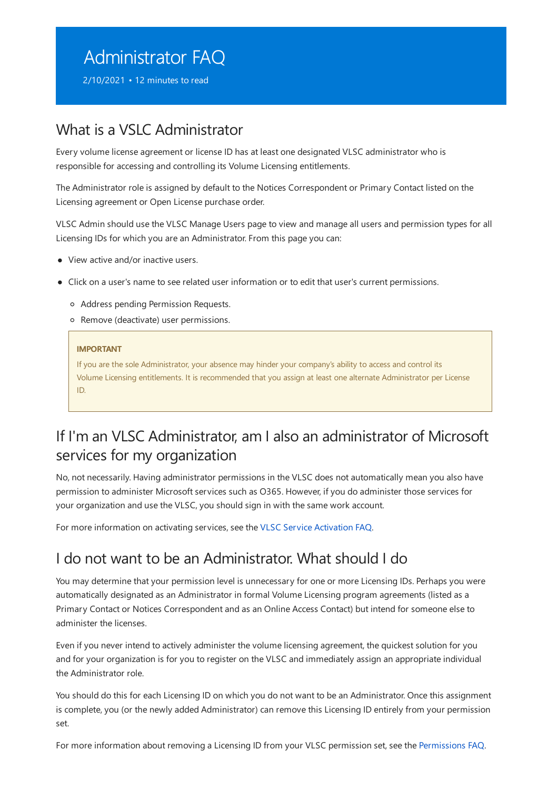# <span id="page-12-0"></span>Administrator FAQ

2/10/2021 • 12 minutes to read

#### What is a VSLC Administrator

Every volume license agreement or license ID has at least one designated VLSC administrator who is responsible for accessing and controlling its Volume Licensing entitlements.

The Administrator role is assigned by default to the Notices Correspondent or Primary Contact listed on the Licensing agreement or Open License purchase order.

VLSC Admin should use the VLSC Manage Users page to view and manage all users and permission types for all Licensing IDs for which you are an Administrator. From this page you can:

- View active and/or inactive users.
- Click on a user's name to see related user information or to edit that user's current permissions.
	- Address pending Permission Requests.
	- o Remove (deactivate) user permissions.

#### **IMPORTANT**

If you are the sole Administrator, your absence may hinder your company's ability to access and control its VolumeLicensing entitlements. It is recommended that you assign at least onealternate Administrator per License ID.

#### If I'm an VLSC Administrator, am Ialso an administrator of Microsoft services for my organization

No, not necessarily. Having administrator permissions in the VLSC does not automatically mean you also have permission to administer Microsoft services such as O365. However, if you do administer those services for your organization and use the VLSC, you should sign in with the same work account.

For more information on activating services, see the VLSC Service [Activation](#page-40-0) FAQ.

#### I do not want to be an Administrator. What should I do

You may determine that your permission level is unnecessary for one or more Licensing IDs. Perhaps you were automatically designated as an Administrator in formal VolumeLicensing program agreements (listed as a Primary Contact or Notices Correspondent and as an Online Access Contact) but intend for someone else to administer the licenses.

Even if you never intend to actively administer thevolumelicensing agreement, the quickest solution for you and for your organization is for you to register on the VLSC and immediately assign an appropriate individual the Administrator role.

You should do this for each Licensing ID on which you do not want to be an Administrator. Once this assignment is complete, you (or the newly added Administrator) can remove this Licensing ID entirely from your permission set.

For more information about removing a Licensing ID from your VLSC permission set, see the [Permissions](#page-7-0) FAQ.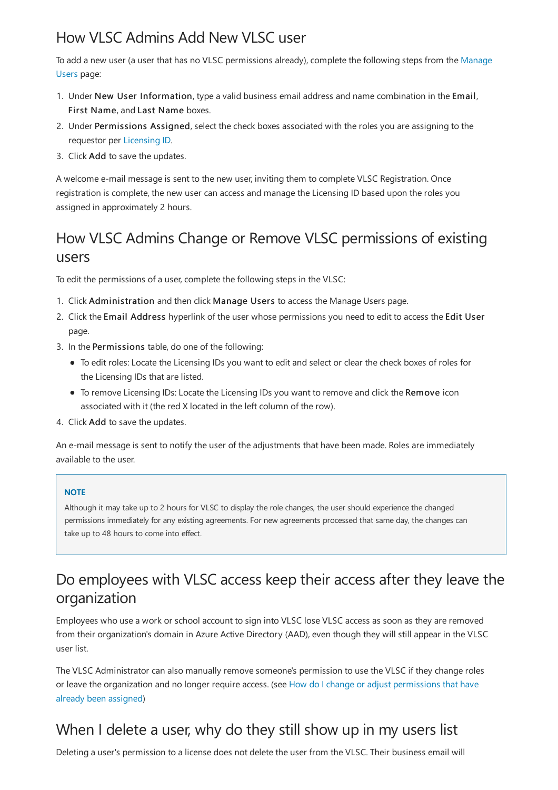## How VLSC Admins Add New VLSC user

To add a new user (a user that has no VLSC permissions already), complete the following steps from the Manage Users page:

- 1. Under New User Information, type a valid business email address and name combination in the Email, First Name,and Last Name boxes.
- 2. Under Permissions Assigned, select the check boxes associated with the roles you are assigning to the requestor per [Licensing](#page-18-1) ID.
- 3. Click Add to save the updates.

A welcome e-mail message is sent to the new user, inviting them to complete VLSC Registration. Once registration is complete, the new user can access and manage the Licensing ID based upon the roles you assigned in approximately 2 hours.

### How VLSC Admins Change or Remove VLSC permissions of existing users

To edit the permissions of a user, complete the following steps in the VLSC:

- 1. Click Administration and then click Manage Users to access the Manage Users page.
- 2. Click the Email Address hyperlink of the user whose permissions you need to edit to access the Edit User page.
- 3. In the Permissions table, do one of the following:
	- $\bullet$  To edit roles: Locate the Licensing IDs you want to edit and select or clear the check boxes of roles for the Licensing IDs that are listed.
	- To remove Licensing IDs: Locate the Licensing IDs you want to remove and click the Remove icon associated with it (the red X located in the left column of the row).
- 4. Click Add to save the updates.

An e-mail message is sent to notify the user of the adjustments that have been made. Roles are immediately available to the user.

#### **NOTE**

Although it may take up to 2 hours for VLSC to display the role changes, the user should experience the changed permissions immediately for any existing agreements. For new agreements processed that same day, the changes can take up to 48 hours to come into effect.

# Do employees with VLSC access keep their access after they leave the organization

Employees who use a work or school account to sign into VLSC lose VLSC access as soon as they are removed from their organization's domain in Azure Active Directory (AAD), even though they will still appear in the VLSC user list.

The VLSC Administrator can also manually remove someone's permission to use the VLSC if they change roles or leave the organization and no longer require access. (see How do I change or adjust permissions that have already been assigned)

# When I delete a user, why do they still show up in my users list

Deleting a user's permission to a license does not delete the user from the VLSC. Their business email will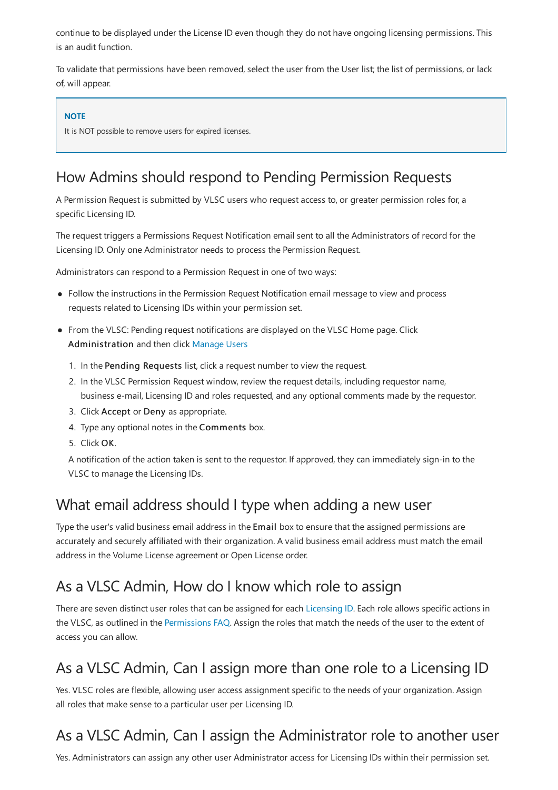continue to be displayed under the License ID even though they do not have ongoing licensing permissions. This is an audit function.

To validate that permissions have been removed, select the user from the User list; the list of permissions, or lack of, will appear.

#### **NOTE**

It is NOT possible to remove users for expired licenses.

### How Admins should respond to Pending Permission Requests

A Permission Request is submitted by VLSC users who request access to, or greater permission roles for, a specific Licensing ID.

The request triggers a Permissions Request Notification email sent to all the Administrators of record for the Licensing ID. Only one Administrator needs to process the Permission Request.

Administrators can respond to a Permission Request in one of two ways:

- Follow the instructions in the Permission Request Notification email message to view and process requests related to Licensing IDs within your permission set.
- From the VLSC: Pending request notifications are displayed on the VLSC Home page. Click Administration and then click [Manage](https://www.microsoft.com/Licensing/servicecenter/Administration/ManageUser.aspx) Users
	- 1. In the Pending Requests list, click a request number to view the request.
	- 2. In the VLSC Permission Request window, review therequest details, including requestor name, business e-mail, Licensing ID and roles requested, and any optional comments made by the requestor.
	- 3. Click Accept or Deny as appropriate.
	- 4. Type any optional notes in the Comments box.
	- 5. Click OK.

A notification of the action taken is sent to the requestor. If approved, they can immediately sign-in to the VLSC to manage the Licensing IDs.

#### What email address should I type when adding a new user

Type the user's valid business email address in the Email box to ensure that the assigned permissions are accurately and securely affiliated with their organization. A valid business email address must match the email address in the Volume License agreement or Open License order.

#### As a VLSC Admin, How do I know which role to assign

There are seven distinct user roles that can be assigned for each [Licensing](#page-18-1) ID. Each role allows specific actions in the VLSC, as outlined in the [Permissions](#page-9-0) FAQ. Assign the roles that match the needs of the user to the extent of access you can allow.

### As a VLSC Admin, Can I assign more than one role to a Licensing ID

Yes. VLSC roles are flexible, allowing user access assignment specific to the needs of your organization. Assign all roles that make sense to a particular user per Licensing ID.

# As a VLSC Admin, Can I assign the Administrator role to another user

Yes. Administrators can assign any other user Administrator access for Licensing IDs within their permission set.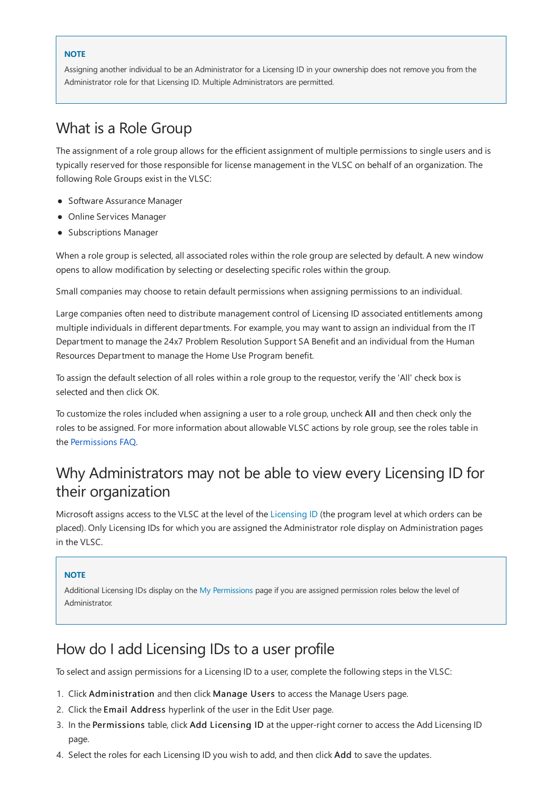#### **NOTE**

Assigning another individual to be an Administrator for a Licensing ID in your ownership does not remove you from the Administrator role for that Licensing ID. Multiple Administrators are permitted.

#### What is a Role Group

The assignment of a role group allows for the efficient assignment of multiple permissions to single users and is typically reserved for those responsible for license management in the VLSC on behalf of an organization. The following Role Groups exist in the VLSC:

- Software Assurance Manager
- Online Services Manager
- Subscriptions Manager

When a role group is selected, all associated roles within the role group are selected by default. A new window opens to allow modification by selecting or deselecting specific roles within the group.

Small companies may choose to retain default permissions when assigning permissions to an individual.

Large companies often need to distribute management control of Licensing ID associated entitlements among multiple individuals in different departments. For example, you may want to assign an individual from the IT Department to manage the 24x7 Problem Resolution Support SA Benefit and an individual from the Human Resources Department to manage the Home Use Program benefit.

To assign the default selection of all roles within a role group to the requestor, verify the 'All' check box is selected and then click OK.

To customize the roles included when assigning a user to a role group, uncheck All and then check only the roles to be assigned. For more information about allowable VLSC actions by role group, see the roles table in the [Permissions](#page-7-0) FAQ.

#### Why Administrators may not be able to view every Licensing ID for their organization

Microsoft assigns access to the VLSC at the level of the [Licensing](#page-18-1) ID (the program level at which orders can be placed). Only Licensing IDs for which you are assigned the Administrator role display on Administration pages in the VLSC.

#### **NOTE**

Additional Licensing IDs display on the My [Permissions](https://www.microsoft.com/Licensing/servicecenter/Administration/MyPermissions.aspx) page if you are assigned permission roles below the level of Administrator.

#### How do Iadd Licensing IDs to a user profile

To select and assign permissions for a Licensing ID to a user, complete the following steps in the VLSC:

- 1. Click Administration and then click Manage Users to access the Manage Users page.
- 2. Click the Email Address hyperlink of the user in the Edit User page.
- 3. In the Permissions table, click Add Licensing ID at the upper-right corner to access the Add Licensing ID page.
- 4. Select the roles for each Licensing ID you wish to add, and then click Add to save the updates.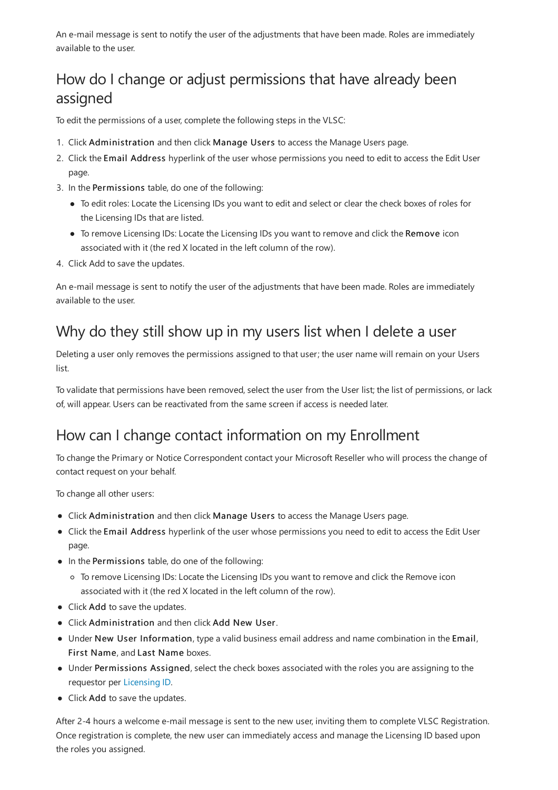An e-mail message is sent to notify the user of the adjustments that have been made. Roles are immediately available to the user.

# <span id="page-16-0"></span>How do I change or adjust permissions that have already been assigned

To edit the permissions of a user, complete the following steps in the VLSC:

- 1. Click Administration and then click Manage Users to access the Manage Users page.
- 2. Click the Email Address hyperlink of the user whose permissions you need to edit to access the Edit User page.
- 3. In the Permissions table, do one of the following:
	- To edit roles: Locate the Licensing IDs you want to edit and select or clear the check boxes of roles for the Licensing IDs that are listed.
	- To remove Licensing IDs: Locate the Licensing IDs you want to remove and click the Remove icon associated with it (the red X located in the left column of the row).
- 4. Click Add to save the updates.

An e-mail message is sent to notify the user of the adjustments that have been made. Roles are immediately available to the user.

# Why do they still show up in my users list when I delete a user

Deleting a user only removes the permissions assigned to that user; the user name will remain on your Users list.

To validate that permissions have been removed, select the user from the User list; the list of permissions, or lack of, will appear. Users can be reactivated from the same screen if access is needed later.

# How can I change contact information on my Enrollment

To change the Primary or Notice Correspondent contact your Microsoft Reseller who will process the change of contact request on your behalf.

To change all other users:

- Click Administration and then click Manage Users to access the Manage Users page.
- Click the Email Address hyperlink of the user whose permissions you need to edit to access the Edit User page.
- $\bullet$  In the Permissions table, do one of the following:
	- To remove Licensing IDs: Locate the Licensing IDs you want to remove and click the Remove icon associated with it (the red X located in the left column of the row).
- Click Add to save the updates.
- Click Administration and then click Add New User.
- Under New User Information, typea valid business email address and namecombination in theEmail, First Name, and Last Name boxes.
- Under Permissions Assigned, select the check boxes associated with the roles you are assigning to the requestor per [Licensing](#page-18-1) ID.
- Click Add to save the updates.

After 2-4 hours a welcome e-mail message is sent to the new user, inviting them to complete VLSC Registration. Once registration is complete, the new user can immediately access and manage the Licensing ID based upon the roles you assigned.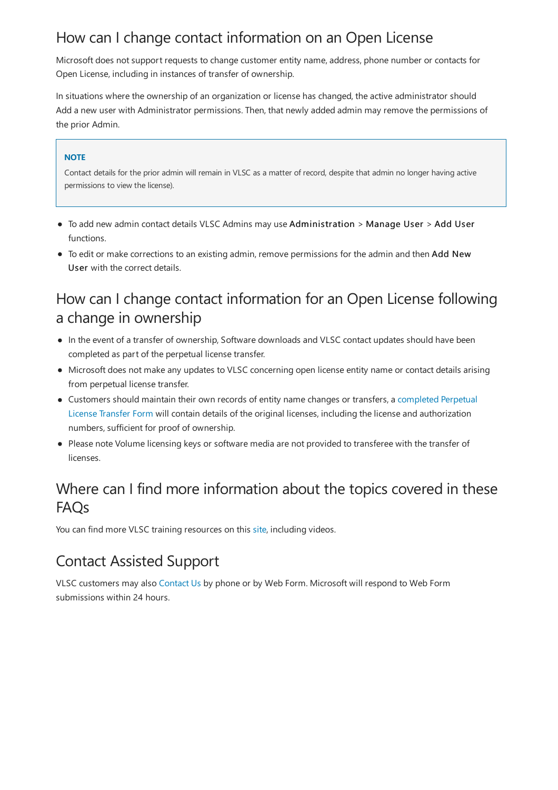### How can I change contact information on an Open License

Microsoft does not support requests to change customer entity name, address, phone number or contacts for Open License, including in instances of transfer of ownership.

In situations where the ownership of an organization or license has changed, the active administrator should Add a new user with Administrator permissions. Then, that newly added admin may remove the permissions of the prior Admin.

#### **NOTE**

Contact details for the prior admin will remain in VLSC as a matter of record, despite that admin no longer having active permissions to view the license).

- To add new admin contact details VLSC Admins may use Administration > Manage User > Add User functions.
- To edit or make corrections to an existing admin, remove permissions for the admin and then Add New User with the correct details.

#### How can I change contact information for an Open License following a change in ownership

- In the event of a transfer of ownership, Software downloads and VLSC contact updates should have been completed as part of the perpetual license transfer.
- Microsoft does not make any updates to VLSC concerning open license entity name or contact details arising from perpetual license transfer.
- Customers should maintain their own records of entity name changes or transfers, a completed Perpetual License Transfer Form will contain details of the original licenses, including the license and authorization numbers, sufficient for proof of ownership.
- Please note Volume licensing keys or software media are not provided to transferee with the transfer of licenses.

#### Where can I find more information about the topics covered in these FAQs

You can find more VLSC training resources on this [site](https://go.microsoft.com/fwlink/?linkid=867987), including videos.

### Contact Assisted Support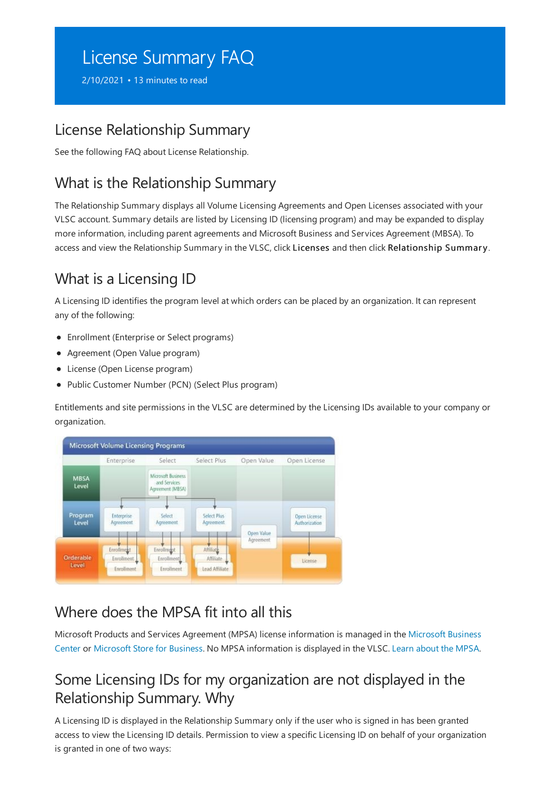# <span id="page-18-0"></span>License Summary FAQ

2/10/2021 • 13 minutes to read

#### License Relationship Summary

See the following FAQ about License Relationship.

### What is the Relationship Summary

The Relationship Summary displays all Volume Licensing Agreements and Open Licenses associated with your VLSC account. Summary details are listed by Licensing ID (licensing program) and may be expanded to display more information, including parent agreements and Microsoft Business and Services Agreement (MBSA). To access and view the Relationship Summary in the VLSC, click Licenses and then click Relationship Summary.

# <span id="page-18-1"></span>What is a Licensing ID

A Licensing ID identifies the program level at which orders can be placed by an organization. It can represent any of the following:

- Enrollment (Enterprise or Select programs)
- Agreement (Open Value program)
- License (Open License program)
- Public Customer Number (PCN) (Select Plus program)

Entitlements and site permissions in the VLSC are determined by the Licensing IDs available to your company or organization.



### Where does the MPSA fit into all this

Microsoft Products and Services Agreement (MPSA) [licenseinformation](https://businessaccount.microsoft.com/Customer) is managed in the Microsoft Business Center or Microsoft Store for Business. No [MPSA](https://www.microsoft.com/Licensing/MPSA/default.aspx) information is displayed in the VLSC. Learn about the MPSA.

#### Some Licensing IDs for my organization are not displayed in the Relationship Summary. Why

A Licensing ID is displayed in the Relationship Summary only if the user who is signed in has been granted access to view the Licensing ID details. Permission to view a specific Licensing ID on behalf of your organization is granted in one of two ways: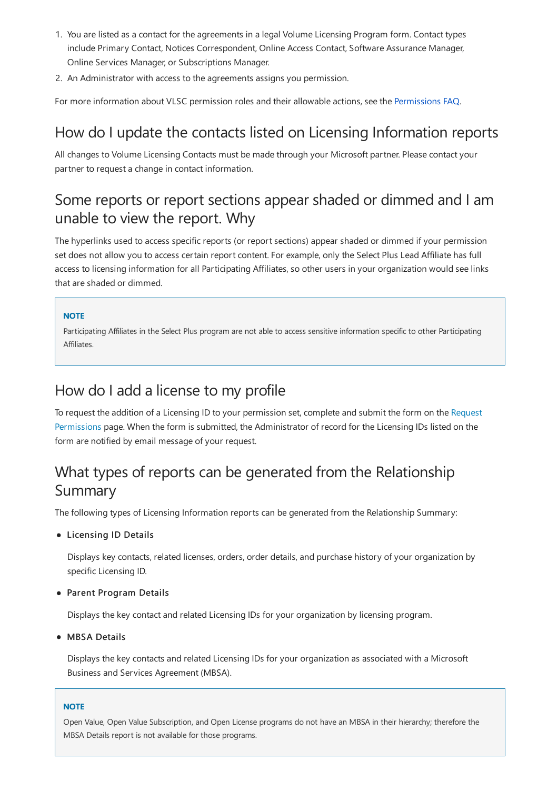- 1. You are listed as a contact for the agreements in a legal Volume Licensing Program form. Contact types include Primary Contact, Notices Correspondent, Online Access Contact, Software Assurance Manager, Online Services Manager, or Subscriptions Manager.
- 2. An Administrator with access to the agreements assigns you permission.

For more information about VLSC permission roles and their allowable actions, see the [Permissions](#page-7-0) FAQ.

### How do I update the contacts listed on Licensing Information reports

All changes to Volume Licensing Contacts must be made through your Microsoft partner. Please contact your partner to request a change in contact information.

#### Some reports or report sections appear shaded or dimmed and I am unable to view the report. Why

The hyperlinks used to access specific reports (or report sections) appear shaded or dimmed if your permission set does not allow you to access certain report content. For example, only the Select Plus Lead Affiliate has full access to licensing information for all Participating Affiliates, so other users in your organization would seelinks that are shaded or dimmed.

#### **NOTE**

Participating Affiliates in the Select Plus program are not able to access sensitive information specific to other Participating Affiliates.

#### How do I add a license to my profile

To request the addition of a Licensing ID to your permission set, complete and submit the form on the Request Permissions page. When the form is submitted, the Administrator of record for the Licensing IDs listed on the form are notified by email message of your request.

# What types of reports can be generated from the Relationship Summary

The following types of Licensing Information reports can be generated from the Relationship Summary:

#### Licensing ID Details

Displays key contacts, related licenses, orders, order details, and purchase history of your organization by specific Licensing ID.

#### Parent Program Details

Displays the key contact and related Licensing IDs for your organization by licensing program.

#### MBSA Details

Displays thekey contacts and related Licensing IDs for your organization as associated with a Microsoft Business and Services Agreement (MBSA).

#### **NOTE**

Open Value, Open Value Subscription, and Open License programs do not have an MBSA in their hierarchy; therefore the MBSA Details report is not available for those programs.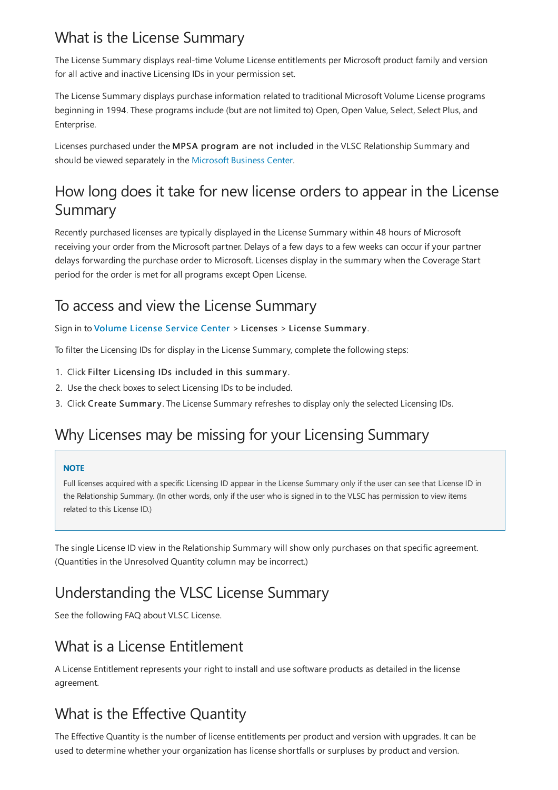# What is the License Summary

The License Summary displays real-time Volume License entitlements per Microsoft product family and version for all active and inactive Licensing IDs in your permission set.

The License Summary displays purchase information related to traditional Microsoft Volume License programs beginning in 1994. These programs include (but are not limited to) Open, Open Value, Select, Select Plus, and Enterprise.

Licenses purchased under theMPSA program are not included in the VLSC Relationship Summary and should be viewed separately in the [Microsoft](https://businessaccount.microsoft.com/customer) Business Center.

### How long does it take for new license orders to appear in the License Summary

Recently purchased licenses are typically displayed in the License Summary within 48 hours of Microsoft receiving your order from the Microsoft partner. Delays of a few days to a few weeks can occur if your partner delays forwarding the purchase order to Microsoft. Licenses display in the summary when the Coverage Start period for the order is met for all programs except Open License.

#### To access and view the License Summary

#### Sign in to [Volume](https://www.microsoft.com/Licensing/servicecenter/default.aspx) License Service Center > Licenses > License Summary.

To filter the Licensing IDs for display in the License Summary, complete the following steps:

- 1. Click Filter Licensing IDs included in this summary.
- 2. Use the check boxes to select Licensing IDs to be included.
- 3. Click Create Summary. The License Summary refreshes to display only the selected Licensing IDs.

### Why Licenses may be missing for your Licensing Summary

#### **NOTE**

Full licenses acquired with a specific Licensing ID appear in the License Summary only if the user can see that License ID in the Relationship Summary. (In other words, only if the user who is signed in to the VLSC has permission to view items related to this License ID.)

The single License ID view in the Relationship Summary will show only purchases on that specific agreement. (Quantities in the Unresolved Quantity column may be incorrect.)

# Understanding the VLSC License Summary

See the following FAQ about VLSC License.

### What is a License Entitlement

A License Entitlement represents your right to install and use software products as detailed in the license agreement.

# What is the Effective Quantity

The Effective Quantity is the number of license entitlements per product and version with upgrades. It can be used to determine whether your organization has license shortfalls or surpluses by product and version.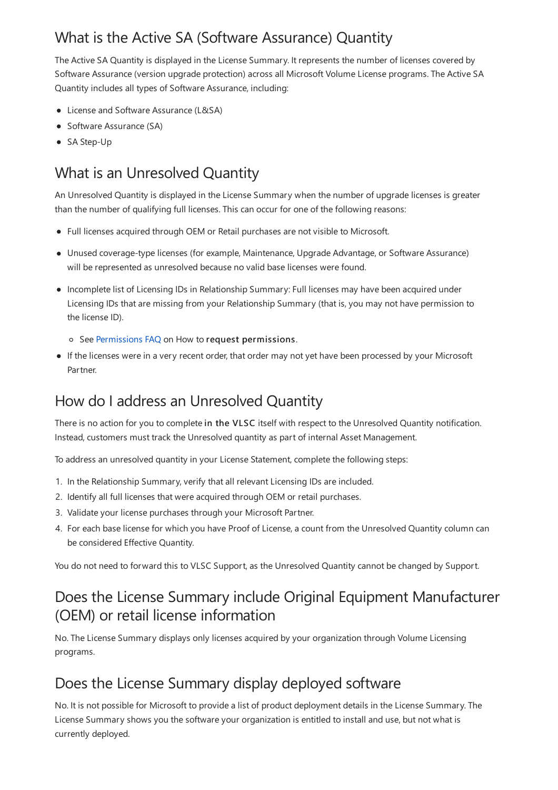# What is the Active SA (Software Assurance) Quantity

The Active SA Quantity is displayed in the License Summary. It represents the number of licenses covered by Software Assurance (version upgrade protection) across all Microsoft Volume License programs. The Active SA Quantity includes all types of Software Assurance, including:

- License and Software Assurance (L&SA)
- Software Assurance (SA)
- SA Step-Up

# What is an Unresolved Quantity

An Unresolved Quantity is displayed in the License Summary when the number of upgrade licenses is greater than the number of qualifying full licenses. This can occur for one of the following reasons:

- Full licenses acquired through OEM or Retail purchases are not visible to Microsoft.
- Unused coverage-type licenses (for example, Maintenance, Upgrade Advantage, or Software Assurance) will be represented as unresolved because no valid base licenses were found.
- Incompletelist of Licensing IDs in Relationship Summary:Full licenses may have been acquired under Licensing IDs that are missing from your Relationship Summary (that is, you may not have permission to the license ID).
	- o See [Permissions](#page-7-0) FAQ on How to request permissions.
- If the licenses were in a very recent order, that order may not yet have been processed by your Microsoft Partner.

# How do I address an Unresolved Quantity

There is no action for you to complete in the VLSC itself with respect to the Unresolved Quantity notification. Instead, customers must track the Unresolved quantity as part of internal Asset Management.

To address an unresolved quantity in your License Statement, complete the following steps:

- 1. In the Relationship Summary, verify that all relevant Licensing IDs are included.
- 2. Identify all full licenses that were acquired through OEM or retail purchases.
- 3. Validate your license purchases through your Microsoft Partner.
- 4. For each base license for which you have Proof of License, a count from the Unresolved Quantity column can be considered Effective Quantity.

You do not need to forward this to VLSC Support, as the Unresolved Quantity cannot be changed by Support.

### Does the License Summary include Original Equipment Manufacturer (OEM) or retail license information

No. The License Summary displays only licenses acquired by your organization through Volume Licensing programs.

#### Does the License Summary display deployed software

No. It is not possible for Microsoft to provide a list of product deployment details in the License Summary. The License Summary shows you the software your organization is entitled to install and use, but not what is currently deployed.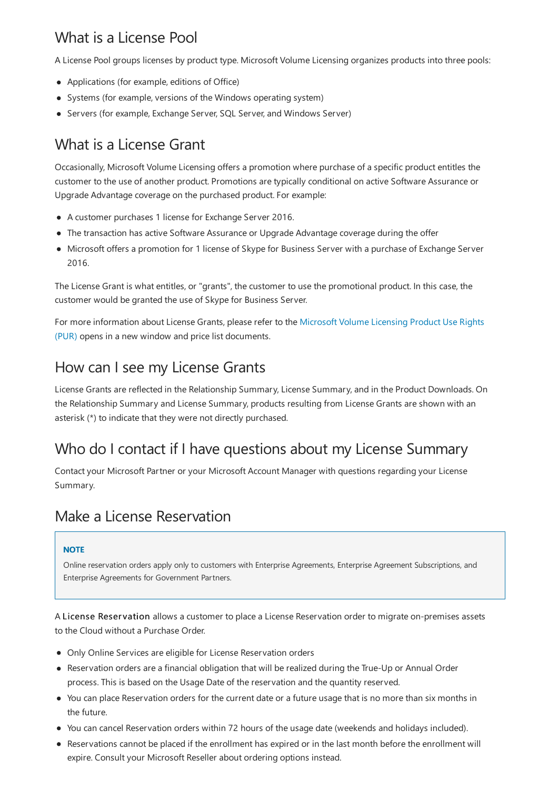# What is a License Pool

A License Pool groups licenses by product type. Microsoft Volume Licensing organizes products into three pools:

- Applications (for example, editions of Office)
- Systems (for example, versions of the Windows operating system)
- Servers (for example, Exchange Server, SQL Server, and Windows Server)

# What is a License Grant

Occasionally, Microsoft Volume Licensing offers a promotion where purchase of a specific product entitles the customer to the use of another product. Promotions are typically conditional on active Software Assurance or Upgrade Advantage coverage on the purchased product. For example:

- A customer purchases 1 license for Exchange Server 2016.
- The transaction has active Software Assurance or Upgrade Advantage coverage during the offer
- Microsoft offers a promotion for 1 license of Skype for Business Server with a purchase of Exchange Server 2016.

The License Grant is what entitles, or "grants", the customer to use the promotional product. In this case, the customer would be granted the use of Skype for Business Server.

For more information about License Grants, please refer to the Microsoft Volume Licensing Product Use Rights (PUR) opens in a new window and price list documents.

### How can I see my License Grants

License Grants are reflected in the Relationship Summary, License Summary, and in the Product Downloads. On the Relationship Summary and License Summary, products resulting from License Grants are shown with an asterisk (\*) to indicate that they were not directly purchased.

# Who do I contact if I have questions about my License Summary

Contactyour Microsoft Partner or your Microsoft Account Manager with questions regarding your License Summary.

#### Make a License Reservation

#### **NOTE**

Online reservation orders apply only to customers with Enterprise Agreements, Enterprise Agreement Subscriptions, and Enterprise Agreements for Government Partners.

A License Reservation allows a customer to place a License Reservation order to migrate on-premises assets to the Cloud without a Purchase Order.

- Only Online Services are eligible for License Reservation orders
- Reservation orders are a financial obligation that will be realized during the True-Up or Annual Order process. This is based on the Usage Date of the reservation and the quantity reserved.
- You can place Reservation orders for the current date or a future usage that is no more than six months in the future.
- You can cancel Reservation orders within 72 hours of the usage date(weekends and holidays included).
- Reservations cannot be placed if the enrollment has expired or in the last month before the enrollment will expire. Consult your Microsoft Reseller about ordering options instead.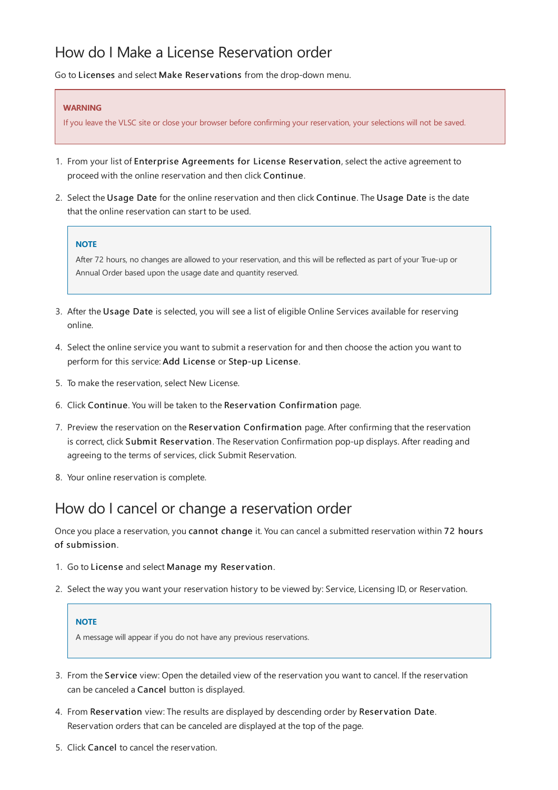#### How do I Make a License Reservation order

Go to Licenses and select Make Reservations from the drop-down menu.

#### **WARNING**

If you leave the VLSC site or close your browser before confirming your reservation, your selections will not be saved.

- 1. From your list of Enterprise Agreements for License Reservation, select the active agreement to proceed with the online reservation and then click Continue.
- 2. Select the Usage Date for the online reservation and then click Continue. The Usage Date is the date that the online reservation can start to be used.

#### **NOTE**

After 72 hours, no changes are allowed to your reservation, and this will be reflected as part of your True-up or Annual Order based upon the usage dateand quantity reserved.

- 3. After the Usage Date is selected, you will see a list of eligible Online Services available for reserving online.
- 4. Select the online service you want to submit a reservation for and then choose the action you want to perform for this service: Add License or Step-up License.
- 5. To make the reservation, select New License.
- 6. Click Continue. You will be taken to the Reservation Confirmation page.
- 7. Preview the reservation on the Reservation Confirmation page. After confirming that the reservation is correct, click Submit Reservation. The Reservation Confirmation pop-up displays. After reading and agreeing to the terms of services, click Submit Reservation.
- 8. Your online reservation is complete.

#### How do I cancel or change a reservation order

Once you place a reservation, you cannot change it. You can cancel a submitted reservation within 72 hours of submission.

- 1. Go to License and select Manage my Reservation.
- 2. Select the way you want your reservation history to be viewed by: Service, Licensing ID, or Reservation.

#### **NOTE**

A message will appear if you do not have any previous reservations.

- 3. From the Service view: Open the detailed view of the reservation you want to cancel. If the reservation can be canceled a Cancel button is displayed.
- 4. From Reservation view: The results are displayed by descending order by Reservation Date. Reservation orders that can be canceled are displayed at the top of the page.
- 5. Click Cancel to cancel thereservation.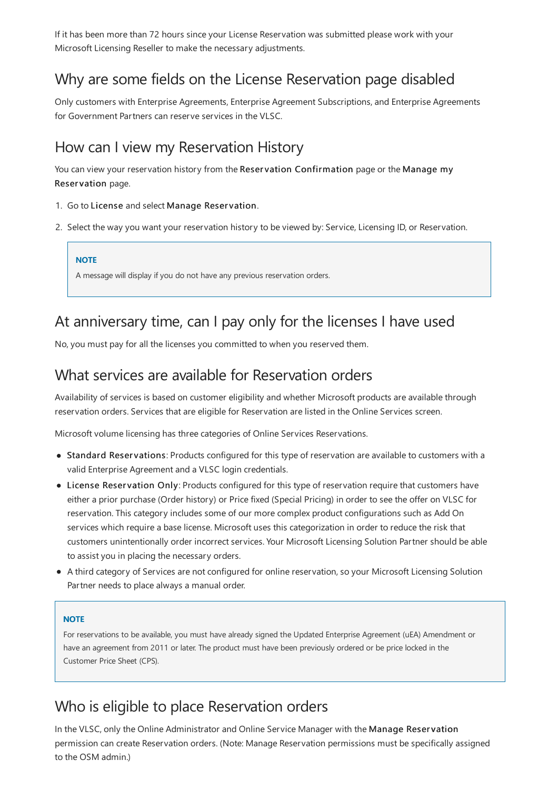If it has been more than 72 hours since your License Reservation was submitted please work with your Microsoft Licensing Reseller to make the necessary adjustments.

#### Why are some fields on the License Reservation page disabled

Only customers with Enterprise Agreements, Enterprise Agreement Subscriptions, and Enterprise Agreements for Government Partners can reserve services in the VLSC.

#### How can I view my Reservation History

You can view your reservation history from the Reservation Confirmation page or the Manage my Reservation page.

- 1. Go to License and select Manage Reservation.
- 2. Select the way you want your reservation history to be viewed by: Service, Licensing ID, or Reservation.

**NOTE**

A message will display if you do not haveany previous reservation orders.

#### At anniversary time, can I pay only for the licenses I have used

No, you must pay for all the licenses you committed to when you reserved them.

#### What services are available for Reservation orders

Availability of services is based on customer eligibility and whether Microsoft products are available through reservation orders. Services that are eligible for Reservation are listed in the Online Services screen.

Microsoft volume licensing has three categories of Online Services Reservations.

- Standard Reservations: Products configured for this type of reservation are available to customers with a valid Enterprise Agreement and a VLSC login credentials.
- License Reservation Only: Products configured for this type of reservation require that customers have either a prior purchase (Order history) or Price fixed (Special Pricing) in order to see the offer on VLSC for reservation.This category includes some of our morecomplex product configurations such as Add On services which require a base license. Microsoft uses this categorization in order to reduce the risk that customers unintentionally order incorrect services. Your Microsoft Licensing Solution Partner should be able to assist you in placing the necessary orders.
- A third category of Services are not configured for online reservation, so your Microsoft Licensing Solution Partner needs to place always a manual order.

#### **NOTE**

For reservations to be available, you must have already signed the Updated Enterprise Agreement (uEA) Amendment or have an agreement from 2011 or later. The product must have been previously ordered or be price locked in the Customer Price Sheet (CPS).

#### Who is eligible to place Reservation orders

In the VLSC, only the Online Administrator and Online Service Manager with the Manage Reservation permission can create Reservation orders. (Note: Manage Reservation permissions must be specifically assigned to the OSM admin.)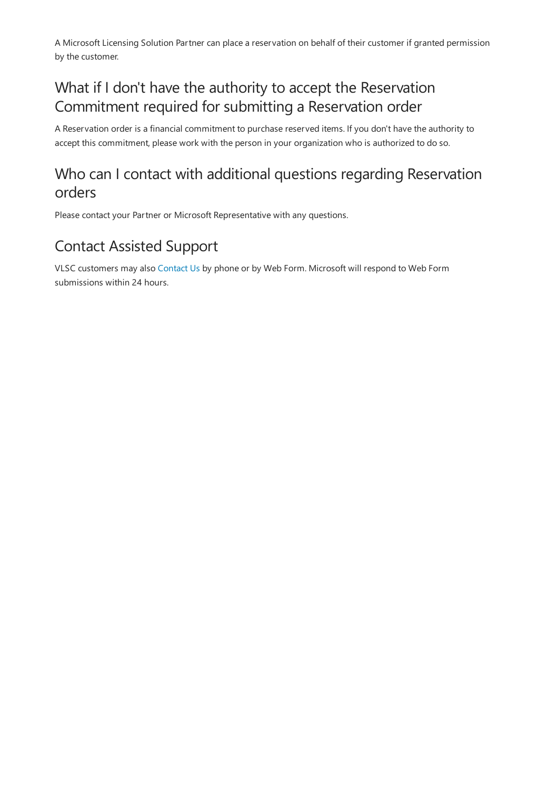A Microsoft Licensing Solution Partner can place a reservation on behalf of their customer if granted permission by the customer.

### What if I don't have the authority to accept the Reservation Commitment required for submitting a Reservation order

A Reservation order is a financial commitment to purchase reserved items. If you don't have the authority to accept this commitment, please work with the person in your organization who is authorized to do so.

### Who can I contact with additional questions regarding Reservation orders

Please contact your Partner or Microsoft Representative with any questions.

# Contact Assisted Support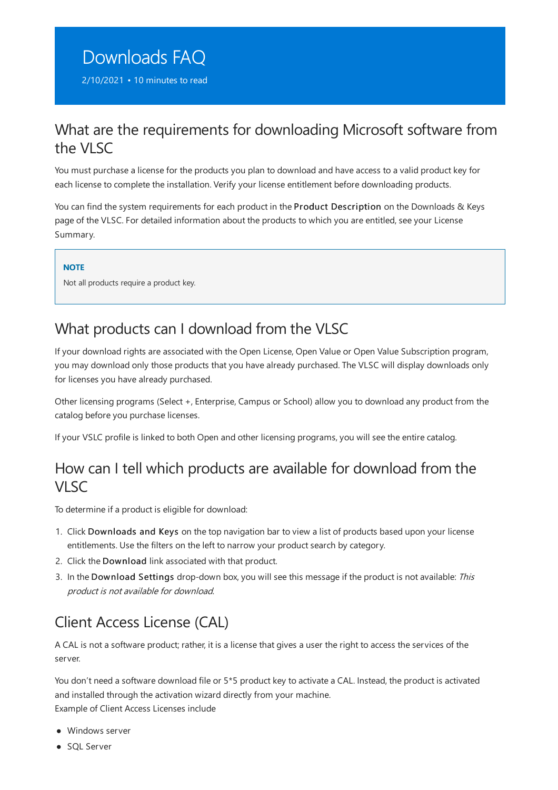# <span id="page-26-0"></span>Downloads FAQ

2/10/2021 • 10 minutes to read

#### What are the requirements for downloading Microsoft software from the VLSC

You must purchase a license for the products you plan to download and have access to a valid product key for each license to complete the installation. Verify your license entitlement before downloading products.

You can find the system requirements for each product in the Product Description on the Downloads & Keys page of the VLSC. For detailed information about the products to which you are entitled, see your License Summary.

#### **NOTE**

Not all products require a product key.

### What products can I download from the VLSC

If your download rights are associated with the Open License, Open Value or Open Value Subscription program, you may download only those products that you have already purchased. The VLSC will display downloads only for licenses you have already purchased.

Other licensing programs (Select +, Enterprise, Campus or School) allow you to download any product from the catalog before you purchase licenses.

If your VSLC profile is linked to both Open and other licensing programs, you will see the entire catalog.

#### How can I tell which products are available for download from the VLSC

To determine if a product is eligible for download:

- 1. Click Downloads and Keys on thetop navigation bar to view a list of products based upon your license entitlements. Use the filters on the left to narrow your product search by category.
- 2. Click the Download link associated with that product.
- 3. In the Download Settings drop-down box, you will see this message if the product is not available: This product is not available for download.

# Client Access License (CAL)

A CAL is not a software product; rather, it is a license that gives a user the right to access the services of the server.

You don't need a software download file or 5\*5 product key to activate a CAL. Instead, the product is activated and installed through the activation wizard directly from your machine. Example of Client Access Licenses include

- Windows server
- SOL Server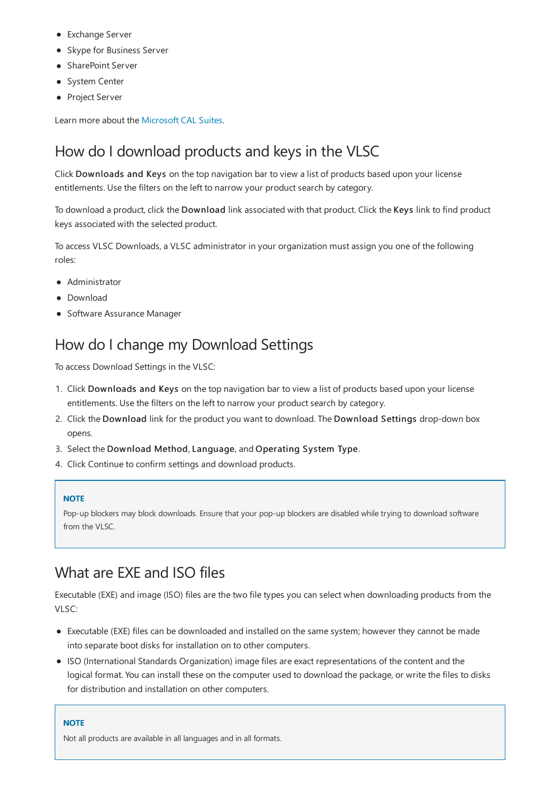- Exchange Server
- Skype for Business Server
- SharePoint Server
- System Center
- Project Server

Learn more about the [Microsoft](https://www.microsoft.com/licensing/product-licensing/client-access-license) CAL Suites.

#### How do I download products and keys in the VLSC

Click Downloads and Keys on thetop navigation bar to view a list of products based upon your license entitlements. Use the filters on the left to narrow your product search by category.

To download a product, click the Download link associated with that product. Click the Keys link to find product keys associated with the selected product.

To access VLSC Downloads, a VLSC administrator in your organization must assign you one of the following roles:

- Administrator
- Download
- **Software Assurance Manager**

#### How do I change my Download Settings

To access Download Settings in the VLSC:

- 1. Click Downloads and Keys on thetop navigation bar to view a list of products based upon your license entitlements. Use the filters on the left to narrow your product search by category.
- 2. Click the Download link for the product you want to download. The Download Settings drop-down box opens.
- 3. Select the Download Method, Language, and Operating System Type.
- 4. Click Continue to confirm settings and download products.

#### **NOTE**

Pop-up blockers may block downloads. Ensure that your pop-up blockers are disabled while trying to download software from the VLSC.

#### What are EXE and ISO files

Executable (EXE) and image (ISO) files are the two file types you can select when downloading products from the VLSC:

- Executable(EXE) files can be downloaded and installed on thesamesystem; however they cannot be made into separate boot disks for installation on to other computers.
- ISO (International Standards Organization) image files are exact representations of the content and the logical format. You can install these on the computer used to download the package, or write the files to disks for distribution and installation on other computers.

#### **NOTE**

Not all products are available in all languages and in all formats.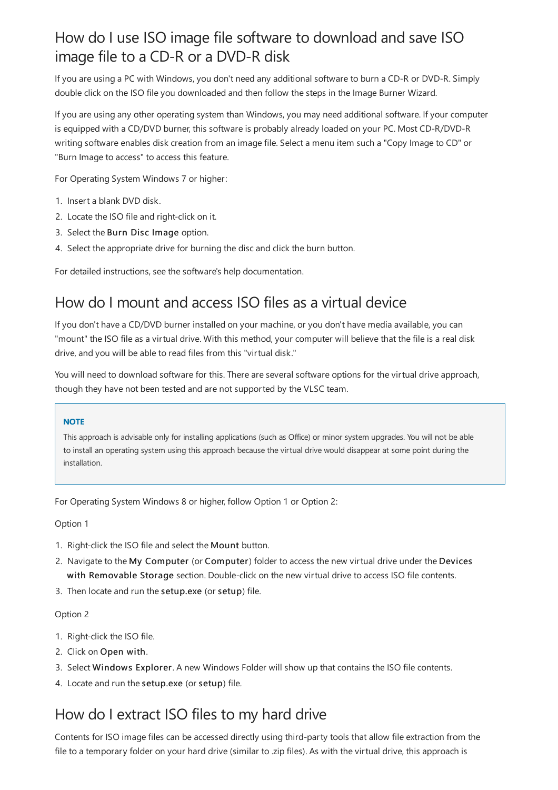## How do I use ISO image file software to download and save ISO image file to a CD-R or a DVD-R disk

If you are using a PC with Windows, you don't need any additional software to burn a CD-R or DVD-R. Simply double click on the ISO file you downloaded and then follow the steps in the Image Burner Wizard.

If you are using any other operating system than Windows, you may need additional software. If your computer is equipped with a CD/DVD burner, this software is probably already loaded on your PC. Most CD-R/DVD-R writing software enables disk creation from an image file. Select a menu item such a "Copy Image to CD" or "Burn Image to access" to access this feature.

For Operating System Windows 7 or higher:

- 1. Inserta blank DVD disk.
- 2. Locate the ISO file and right-click on it.
- 3. Select the Burn Disc Image option.
- 4. Select the appropriate drive for burning the disc and click the burn button.

For detailed instructions, see the software's help documentation.

#### How do I mount and access ISO files as a virtual device

If you don't have a CD/DVD burner installed on your machine, or you don't have media available, you can "mount" the ISO file as a virtual drive. With this method, your computer will believe that the file is a real disk drive, and you will be able to read files from this "virtual disk."

You will need to download software for this. There are several software options for the virtual drive approach, though they have not been tested and are not supported by the VLSC team.

#### **NOTE**

This approach is advisable only for installing applications (such as Office) or minor system upgrades. You will not be able to install an operating system using this approach because the virtual drive would disappear at some point during the installation.

For Operating System Windows 8 or higher, follow Option 1 or Option 2:

Option 1

- 1. Right-click the ISO file and select the Mount button.
- 2. Navigate to the My Computer (or Computer) folder to access the new virtual drive under the Devices with Removable Storage section. Double-click on the new virtual drive to access ISO file contents.
- 3. Then locate and run the setup.exe (or setup) file.

#### Option 2

- 1. Right-click the ISO file.
- 2. Click on Open with.
- 3. Select Windows Explorer. A new Windows Folder will show up that contains the ISO file contents.
- 4. Locate and run the setup.exe (or setup) file.

### How do Iextract ISO files to my hard drive

Contents for ISO image files can be accessed directly using third-party tools that allow file extraction from the file to a temporary folder on your hard drive (similar to .zip files). As with the virtual drive, this approach is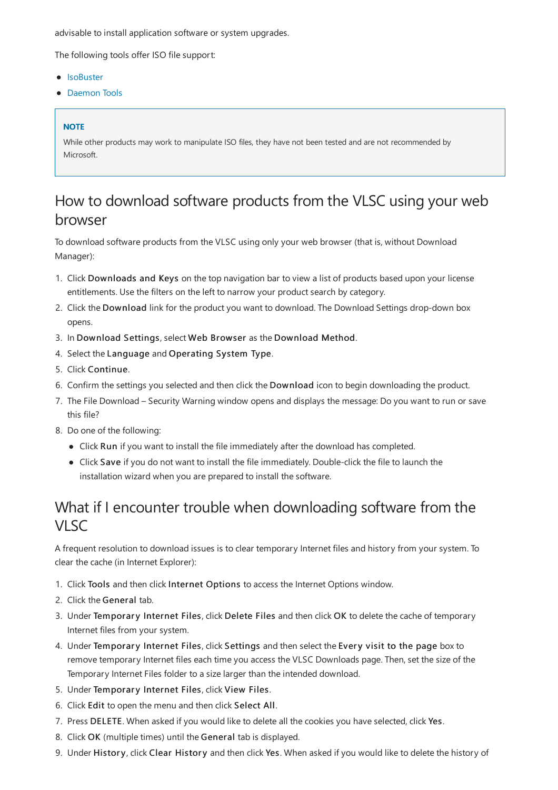advisable to install application software or system upgrades.

The following tools offer ISO file support:

- [IsoBuster](http://www.smart-projects.net/isobuster/)
- [Daemon](http://www.daemon-tools.cc/) Tools

#### **NOTE**

While other products may work to manipulate ISO files, they have not been tested and are not recommended by Microsoft.

#### How to download software products from the VLSC using your web browser

To download software products from the VLSC using only your web browser (that is, without Download Manager):

- 1. Click Downloads and Keys on thetop navigation bar to view a list of products based upon your license entitlements. Use the filters on the left to narrow your product search by category.
- 2. Click the Download link for the product you want to download. The Download Settings drop-down box opens.
- 3. In Download Settings, select Web Browser as the Download Method.
- 4. Select the Language and Operating System Type.
- 5. Click Continue.
- 6. Confirm the settings you selected and then click the Download icon to begin downloading the product.
- 7. The File Download Security Warning window opens and displays the message: Do you want to run or save this file?
- 8. Do one of the following:
	- Click Run if you want to install the file immediately after the download has completed.
	- Click Save if you do not want to install the file immediately. Double-click the file to launch the installation wizard when you are prepared to install the software.

#### What if I encounter trouble when downloading software from the VISC<sub>1</sub>

A frequent resolution to download issues is to clear temporary Internet files and history from your system.To clear the cache (in Internet Explorer):

- 1. Click Tools and then click Internet Options to access the Internet Options window.
- 2. Click the General tab.
- 3. Under Temporary Internet Files, click Delete Files and then click OK to delete the cache of temporary Internet files from your system.
- 4. Under Temporary Internet Files, click Settings and then select the Every visit to the page box to remove temporary Internet files each time you access the VLSC Downloads page. Then, set the size of the Temporary Internet Files folder to a size larger than the intended download.
- 5. Under Temporary Internet Files, click View Files.
- 6. Click Edit to open the menu and then click Select All.
- 7. Press DELETE. When asked if you would like to delete all the cookies you have selected, click Yes.
- 8. Click OK (multiple times) until the General tab is displayed.
- 9. Under History, click Clear History and then click Yes. When asked if you would like to delete the history of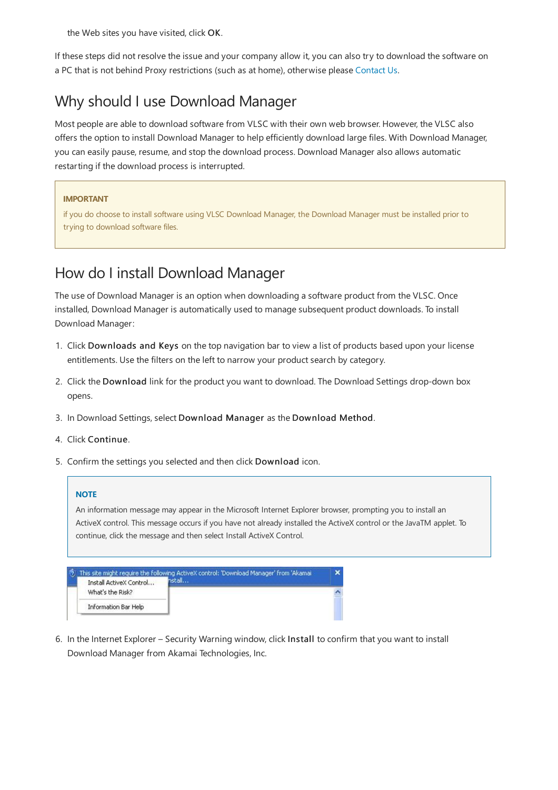the Web sites you have visited, click OK.

If these steps did not resolve the issue and your company allow it, you can also try to download the software on a PC that is not behind Proxy restrictions (such as at home), otherwise please [Contact](https://docs.microsoft.com/en-us/licensing/contact-us) Us.

### Why should I use Download Manager

Most people are able to download software from VLSC with their own web browser. However, the VLSC also offers the option to install Download Manager to help efficiently download large files. With Download Manager, you can easily pause, resume, and stop the download process. Download Manager also allows automatic restarting if the download process is interrupted.

#### **IMPORTANT**

if you do choose to install software using VLSC Download Manager, the Download Manager must be installed prior to trying to download software files.

#### How do I install Download Manager

The use of Download Manager is an option when downloading a software product from the VLSC. Once installed, Download Manager is automatically used to manage subsequent product downloads. To install Download Manager:

- 1. Click Downloads and Keys on thetop navigation bar to view a list of products based upon your license entitlements. Use the filters on the left to narrow your product search by category.
- 2. Click the Download link for the product you want to download. The Download Settings drop-down box opens.
- 3. In Download Settings, select Download Manager as the Download Method.
- 4. Click Continue.
- 5. Confirm the settings you selected and then click Download icon.

#### **NOTE**

An information message may appear in the Microsoft Internet Explorer browser, prompting you to installan ActiveX control. This message occurs if you have not already installed the ActiveX control or the JavaTM applet. To continue, click the message and then select Install ActiveX Control.

|                             | This site might require the following ActiveX control: 'Download Manager' from 'Akamai |  |
|-----------------------------|----------------------------------------------------------------------------------------|--|
| Install ActiveX Control     |                                                                                        |  |
| What's the Risk?            |                                                                                        |  |
| <b>Information Bar Help</b> |                                                                                        |  |

6. In the Internet Explorer – Security Warning window, click Install to confirm that you want to install Download Manager from Akamai Technologies, Inc.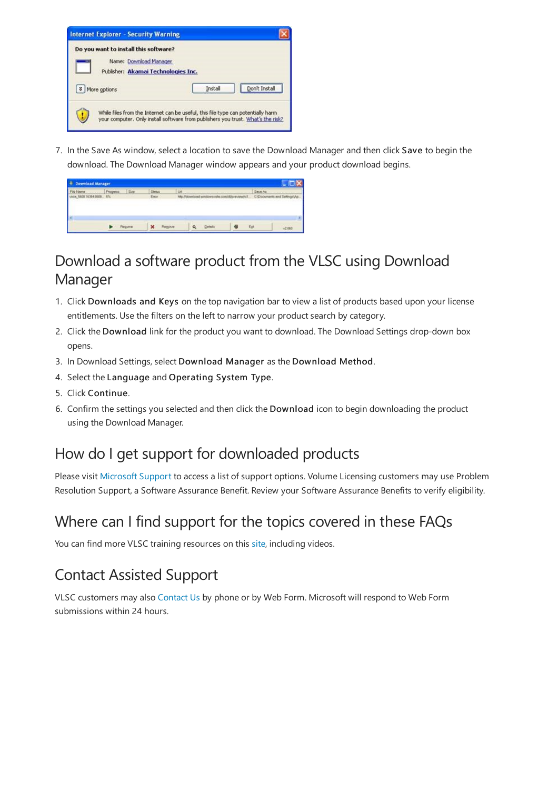

7. In the Save As window, select a location to save the Download Manager and then click Save to begin the download.The Download Manager window appears and your product download begins.

| Náteira<br><b>CONTRACTOR</b>                        | Progress | Sre                      | Stetus | LH |                                      | Save As           |  |
|-----------------------------------------------------|----------|--------------------------|--------|----|--------------------------------------|-------------------|--|
| 5600.16384.0608. 8%<br><b>Alexandria Contractor</b> |          | <b><i>CALLENGARD</i></b> | Erne!  |    | <b><i>Mts //download windows</i></b> | <b>PATINGORIA</b> |  |
|                                                     |          |                          |        |    |                                      |                   |  |
|                                                     |          |                          |        |    |                                      |                   |  |
|                                                     |          |                          |        |    |                                      |                   |  |
|                                                     |          |                          |        |    |                                      |                   |  |

# Download asoftware product from the VLSC using Download Manager

- 1. Click Downloads and Keys on the top navigation bar to view a list of products based upon your license entitlements. Use the filters on the left to narrow your product search by category.
- 2. Click the Download link for the product you want to download. The Download Settings drop-down box opens.
- 3. In Download Settings, select Download Manager as the Download Method.
- 4. Select theLanguage and Operating System Type.
- 5. Click Continue.
- 6. Confirm the settings you selected and then click the Download icon to begin downloading the product using the Download Manager.

# How do I get support for downloaded products

Please visit Microsoft Support to access a list of support options. Volume Licensing customers may use Problem Resolution Support, a Software Assurance Benefit. Review your Software Assurance Benefits to verify eligibility.

# Where can I find support for the topics covered in these FAQs

You can find more VLSC training resources on this [site,](https://go.microsoft.com/fwlink/?linkid=867987) including videos.

# Contact Assisted Support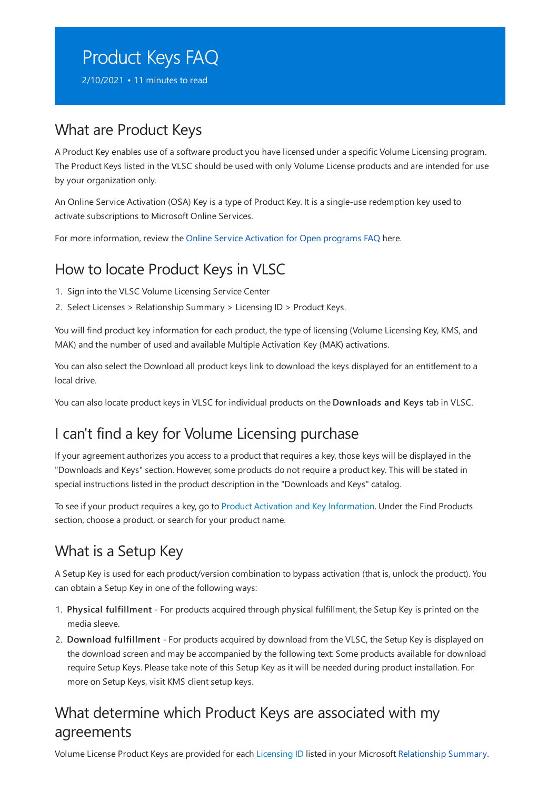# <span id="page-32-0"></span>Product Keys FAQ

2/10/2021 • 11 minutes to read

#### What are Product Keys

A Product Key enables use of a software product you have licensed under a specific Volume Licensing program. The Product Keys listed in the VLSC should be used with only Volume License products and are intended for use by your organization only.

An Online Service Activation (OSA) Key is a type of Product Key. It is a single-use redemption key used to activate subscriptions to Microsoft Online Services.

For more information, review the Online Service Activation for Open programs FAQ here.

### How to locate Product Keys in VLSC

- 1. Sign into the VLSC Volume Licensing Service Center
- 2. Select Licenses > Relationship Summary > Licensing ID > Product Keys.

You will find product key information for each product, the type of licensing (Volume Licensing Key, KMS, and MAK) and the number of used and available Multiple Activation Key (MAK) activations.

You can also select the Download all product keys link to download the keys displayed for an entitlement to a local drive.

You can also locate product keys in VLSC for individual products on the Downloads and Keys tab in VLSC.

# I can't find a key for Volume Licensing purchase

If your agreement authorizes you access to a product that requires a key, those keys will be displayed in the "Downloads and Keys" section. However, some products do not require a product key. This will be stated in special instructions listed in the product description in the"Downloads and Keys" catalog.

To see if your product requires a key, go to Product Activation and Key [Information](https://licensingapps.microsoft.com/product-activation). Under the Find Products section, choose a product, or search for your product name.

# What is a Setup Key

A Setup Key is used for each product/version combination to bypass activation (that is, unlock the product). You can obtain a Setup Key in one of the following ways:

- 1. Physical fulfillment For products acquired through physical fulfillment, the Setup Key is printed on the media sleeve.
- 2. Download fulfillment For products acquired by download from the VLSC, the Setup Key is displayed on the download screen and may be accompanied by the following text: Some products available for download require Setup Keys. Please take note of this Setup Key as it will be needed during product installation. For more on Setup Keys, visit KMS client setup keys.

#### What determine which Product Keys are associated with my agreements

Volume License Product Keys are provided for each [Licensing](#page-18-1) ID listed in your Microsoft [Relationship](#page-18-0) Summary.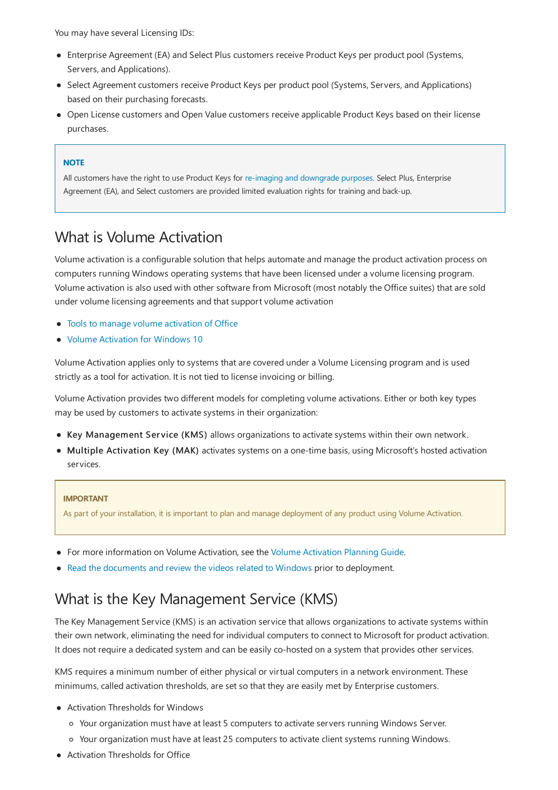You may have several Licensing IDs:

- Enterprise Agreement (EA) and Select Plus customers receive Product Keys per product pool (Systems, Servers, and Applications).
- Select Agreement customers receive Product Keys per product pool (Systems, Servers, and Applications) based on their purchasing forecasts.
- Open License customers and Open Value customers receive applicable Product Keys based on their license purchases.

#### **NOTE**

All customers have the right to use Product Keys for re-imaging and [downgrade](https://www.microsoft.com/licensing/learn-more/volume-licensing-briefs?activetab=volume-licensing-briefs-tab%3aprimaryr2) purposes. Select Plus, Enterprise Agreement (EA), and Select customers are provided limited evaluation rights for training and back-up.

#### What is Volume Activation

Volume activation is a configurable solution that helps automate and manage the product activation process on computers running Windows operating systems that have been licensed under a volume licensing program. Volume activation is also used with other software from Microsoft (most notably the Office suites) that are sold under volume licensing agreements and that support volume activation

- Tools to manage volume activation of Office
- Volume [Activation](https://docs.microsoft.com/en-us/windows/deployment/volume-activation/volume-activation-windows-10) for Windows 10

Volume Activation applies only to systems that are covered under a Volume Licensing program and is used strictly as a tool for activation. It is not tied to license invoicing or billing.

Volume Activation provides two different models for completing volume activations. Either or both key types may be used by customers to activate systems in their organization:

- Key Management Service (KMS) allows organizations to activate systems within their own network.
- Multiple Activation Key (MAK) activates systems on a one-time basis, using Microsoft's hosted activation services.

#### **IMPORTANT**

As part of your installation, it is important to plan and manage deployment of any product using Volume Activation.

- For more information on Volume [Activation](https://technet.microsoft.com/library/dd878528.aspx), see the Volume Activation Planning Guide.
- Read the [documents](https://www.technet.com/volumeactivation) and review the videos related to Windows prior to deployment.

#### What is the Key Management Service (KMS)

The Key Management Service (KMS) is an activation service that allows organizations to activate systems within their own network, eliminating the need for individual computers to connect to Microsoft for product activation. It does not require a dedicated system and can be easily co-hosted on a system that provides other services.

KMS requires a minimum number of either physical or virtual computers in a network environment. These minimums, called activation thresholds, are set so that they are easily met by Enterprise customers.

- Activation Thresholds for Windows
	- o Your organization must have at least 5 computers to activate servers running Windows Server.
	- o Your organization must have at least 25 computers to activate client systems running Windows.
- Activation Thresholds for Office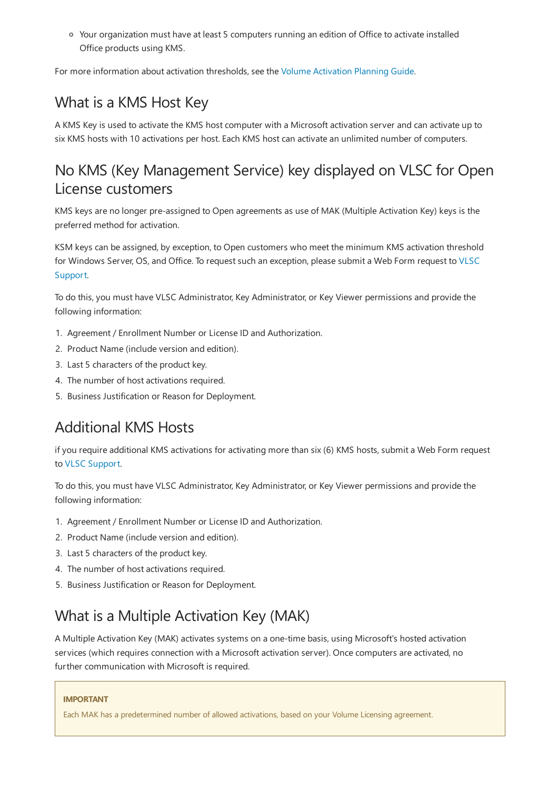o Your organization must have at least 5 computers running an edition of Office to activate installed Office products using KMS.

For more information about activation thresholds, see the Volume [Activation](https://technet.microsoft.com/library/dd878528.aspx) Planning Guide.

# What is a KMS Host Key

A KMS Key is used to activate the KMS host computer with a Microsoft activation server and can activate up to six KMS hosts with 10 activations per host. Each KMS host can activate an unlimited number of computers.

### No KMS (Key Management Service) key displayed on VLSC for Open License customers

KMS keys are no longer pre-assigned to Open agreements as use of MAK (Multiple Activation Key) keys is the preferred method for activation.

KSM keys can be assigned, by exception, to Open customers who meet the minimum KMS activation threshold for Windows Server, OS, and Office. To request such an exception, please submit a Web Form request to VLSC Support.

To do this, you must have VLSC Administrator, Key Administrator, or Key Viewer permissions and provide the following information:

- 1. Agreement / Enrollment Number or License ID and Authorization.
- 2. Product Name (include version and edition).
- 3. Last 5 characters of the product key.
- 4. The number of host activations required.
- 5. Business Justification or Reason for Deployment.

### Additional KMS Hosts

if you require additional KMS activations for activating more than six (6) KMS hosts, submit a Web Form request to VLSC [Support](https://docs.microsoft.com/en-us/licensing/contact-us).

To do this, you must have VLSC Administrator, Key Administrator, or Key Viewer permissions and provide the following information:

- 1. Agreement / Enrollment Number or License ID and Authorization.
- 2. Product Name (include version and edition).
- 3. Last 5 characters of the product key.
- 4. The number of host activations required.
- 5. Business Justification or Reason for Deployment.

# What is a Multiple Activation Key (MAK)

A Multiple Activation Key (MAK) activates systems on a one-time basis, using Microsoft's hosted activation services (which requires connection with a Microsoft activation server). Once computers are activated, no further communication with Microsoft is required.

#### **IMPORTANT**

Each MAK has a predetermined number of allowed activations, based on your Volume Licensing agreement.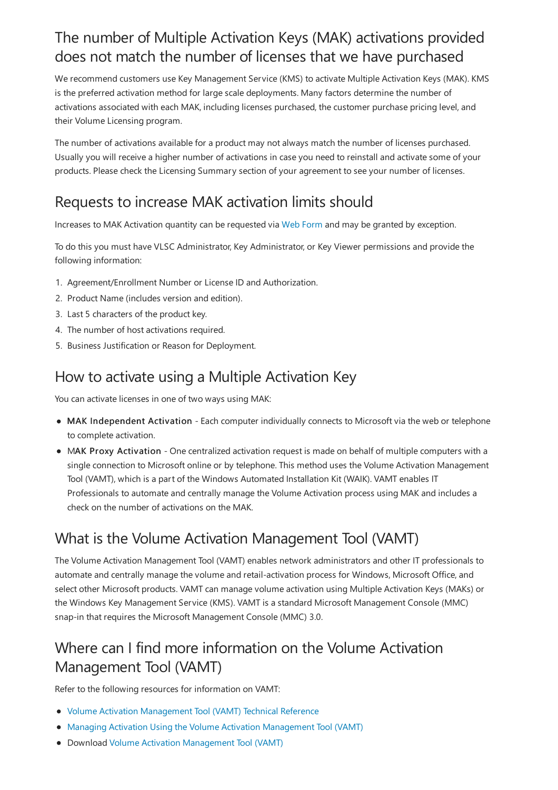## The number of Multiple Activation Keys (MAK) activations provided does not match the number of licenses that we have purchased

We recommend customers use Key Management Service (KMS) to activate Multiple Activation Keys (MAK). KMS is the preferred activation method for large scale deployments. Many factors determine the number of activations associated with each MAK, including licenses purchased, the customer purchase pricing level, and their Volume Licensing program.

The number of activations available for a product may not always match the number of licenses purchased. Usually you will receive a higher number of activations in case you need to reinstall and activate some of your products. Please check the Licensing Summary section of your agreement to see your number of licenses.

# Requests to increase MAK activation limits should

Increases to MAK Activation quantity can be requested via Web [Form](https://docs.microsoft.com/en-us/licensing/contact-us) and may be granted by exception.

To do this you must have VLSC Administrator, Key Administrator, or Key Viewer permissions and providethe following information:

- 1. Agreement/Enrollment Number or License ID and Authorization.
- 2. Product Name(includes version and edition).
- 3. Last 5 characters of the product key.
- 4. The number of host activations required.
- 5. Business Justification or Reason for Deployment.

### How to activate using a Multiple Activation Key

You can activate licenses in one of two ways using MAK:

- MAK Independent Activation Each computer individually connects to Microsoft via the web or telephone to complete activation.
- MAK Proxy Activation One centralized activation request is made on behalf of multiple computers with a single connection to Microsoft online or by telephone. This method uses the Volume Activation Management Tool (VAMT), which is a part of the Windows Automated Installation Kit (WAIK). VAMTenables IT Professionals to automate and centrally manage the Volume Activation process using MAK and includes a check on the number of activations on the MAK.

# What is the Volume Activation Management Tool (VAMT)

The Volume Activation Management Tool (VAMT) enables network administrators and other IT professionals to automate and centrally manage the volume and retail-activation process for Windows, Microsoft Office, and select other Microsoft products. VAMT can manage volume activation using Multiple Activation Keys (MAKs) or the Windows Key Management Service (KMS). VAMT is a standard Microsoft Management Console (MMC) snap-in that requires the Microsoft Management Console(MMC) 3.0.

# Where can I find more information on the Volume Activation Management Tool (VAMT)

Refer to the following resources for information on VAMT:

- Volume Activation Management Tool (VAMT) Technical Reference
- Managing Activation Using the Volume Activation Management Tool (VAMT)
- Download Volume Activation Management Tool (VAMT)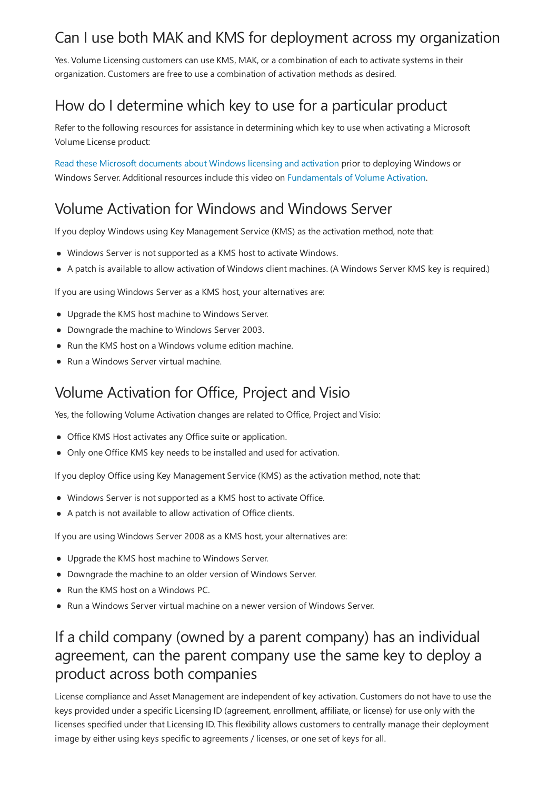### Can I use both MAK and KMS for deployment across my organization

Yes. Volume Licensing customers can use KMS, MAK, or a combination of each to activate systems in their organization. Customers arefreeto usea combination of activation methods as desired.

# How do I determine which key to use for a particular product

Refer to the following resources for assistance in determining which key to use when activating a Microsoft Volume License product:

Read these Microsoft [documents](https://www.technet.com/volumeactivation) about Windows licensing and activation prior to deploying Windows or Windows Server. Additional resources include this video on [Fundamentals](https://go.microsoft.com/fwlink/?LinkId=150087) of Volume Activation.

# Volume Activation for Windows and Windows Server

If you deploy Windows using Key Management Service (KMS) as the activation method, note that:

- Windows Server is not supported as a KMS host to activate Windows.
- A patch is available to allow activation of Windows client machines. (A Windows Server KMS key is required.)

If you are using Windows Server as a KMS host, your alternatives are:

- Upgrade the KMS host machine to Windows Server.
- Downgrade the machine to Windows Server 2003.
- Run the KMS host on a Windows volume edition machine.
- Run a Windows Server virtual machine.

#### Volume Activation for Office, Project and Visio

Yes, the following Volume Activation changes are related to Office, Project and Visio:

- Office KMS Host activates any Office suite or application.
- Only one Office KMS key needs to be installed and used for activation.

If you deploy Office using Key Management Service (KMS) as the activation method, note that:

- Windows Server is not supported as a KMS host to activate Office.
- A patch is not available to allow activation of Office clients.

If you are using Windows Server 2008 as a KMS host, your alternatives are:

- Upgrade the KMS host machine to Windows Server.
- Downgrade the machine to an older version of Windows Server.
- Run the KMS host on a Windows PC.
- Run a Windows Server virtual machine on a newer version of Windows Server.

#### If a child company (owned by a parent company) has an individual agreement, can the parent company use the same key to deploy a product across both companies

License compliance and Asset Management are independent of key activation. Customers do not have to use the keys provided under a specific Licensing ID (agreement, enrollment, affiliate, or license) for use only with the licenses specified under that Licensing ID. This flexibility allows customers to centrally manage their deployment image by either using keys specific to agreements / licenses, or oneset of keys for all.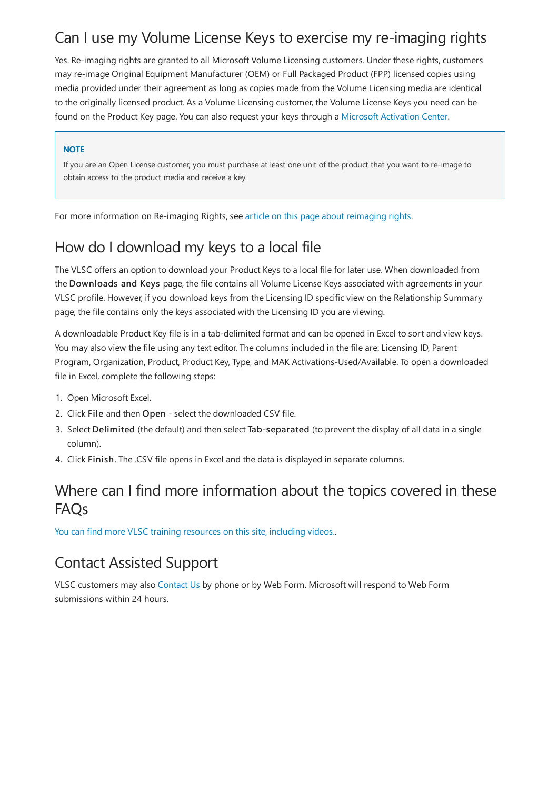# Can I use my Volume License Keys to exercise my re-imaging rights

Yes. Re-imaging rights are granted to all Microsoft Volume Licensing customers. Under these rights, customers may re-image Original Equipment Manufacturer (OEM) or Full Packaged Product (FPP) licensed copies using media provided under their agreement as long as copies made from the Volume Licensing media are identical to the originally licensed product. As a Volume Licensing customer, the Volume License Keys you need can be found on the Product Key page. You can also requestyour keys through a Microsoft [Activation](https://licensingapps.microsoft.com/product-activation) Center.

#### **NOTE**

If you are an Open License customer, you must purchase at least one unit of the product that you want to re-image to obtain access to the product media and receive a key.

For more information on Re-imaging Rights, see article on this page about reimaging rights.

# How do I download my keys to a local file

The VLSC offers an option to download your Product Keys to a local filefor later use.When downloaded from the Downloads and Keys page, the file contains all Volume License Keys associated with agreements in your VLSC profile. However, if you download keys from the Licensing ID specific view on the Relationship Summary page, the file contains only the keys associated with the Licensing ID you are viewing.

A downloadable Product Key file is in a tab-delimited format and can be opened in Excel to sort and view keys. You may also view the file using any text editor. The columns included in the file are: Licensing ID, Parent Program, Organization, Product, Product Key, Type, and MAK Activations-Used/Available. To open a downloaded file in Excel, complete the following steps:

- 1. Open Microsoft Excel.
- 2. Click File and then Open select the downloaded CSV file.
- 3. Select Delimited (the default) and then select Tab-separated (to prevent the display of all data in a single column).
- 4. Click Finish. The .CSV file opens in Excel and the data is displayed in separate columns.

#### Where can I find more information about the topics covered in these FAQs

You can find more VLSC training [resources](https://licensingapps.microsoft.com/product-activation) on this site, including videos..

### Contact Assisted Support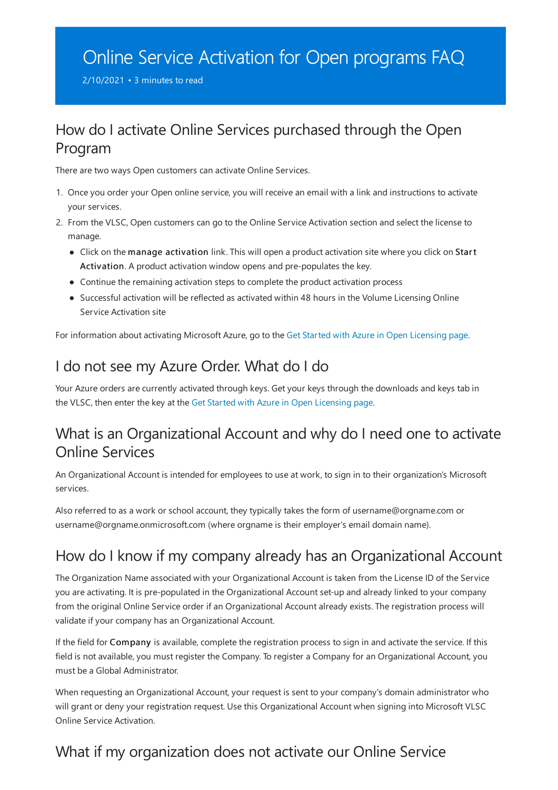# <span id="page-38-0"></span>Online Service Activation for Open programs FAQ

2/10/2021 • 3 minutes to read

#### How do I activate Online Services purchased through the Open Program

There are two ways Open customers can activate Online Services.

- 1. Once you order your Open online service, you will receive an email with a link and instructions to activate your services.
- 2. From the VLSC, Open customers can go to the Online Service Activation section and select the license to manage.
	- Click on the manage activation link. This will open a product activation site where you click on Start Activation. A product activation window opens and pre-populates the key.
	- Continue the remaining activation steps to complete the product activation process
	- Successful activation will be reflected as activated within 48 hours in the Volume Licensing Online Service Activation site

For information about activating Microsoft Azure, go to the Get Started with Azure in Open Licensing page.

# I do not see my Azure Order. What do I do

Your Azure orders are currently activated through keys. Get your keys through the downloads and keys tab in the VLSC, then enter the key at the Get Started with Azure in Open Licensing page.

#### What is an Organizational Account and why do I need one to activate **Online Services**

An Organizational Account is intended for employees to useat work, to sign in to their organization's Microsoft services.

Also referred to as a work or school account, they typically takes theform of username@orgname.com or username@orgname.onmicrosoft.com (where orgnameis their employer's email domain name).

# How do I know if my company already has an Organizational Account

The Organization Name associated with your Organizational Account is taken from the License ID of the Service you are activating. It is pre-populated in the Organizational Account set-up and already linked to your company from the original Online Service order if an Organizational Account already exists. The registration process will validate if your company has an Organizational Account.

If the field for Company is available, complete the registration process to sign in and activate the service. If this field is not available, you must register the Company. To register a Company for an Organizational Account, you must be a Global Administrator.

When requesting an Organizational Account, your request is sent to your company's domain administrator who will grant or deny your registration request. Use this Organizational Account when signing into Microsoft VLSC Online Service Activation.

### What if my organization does not activate our Online Service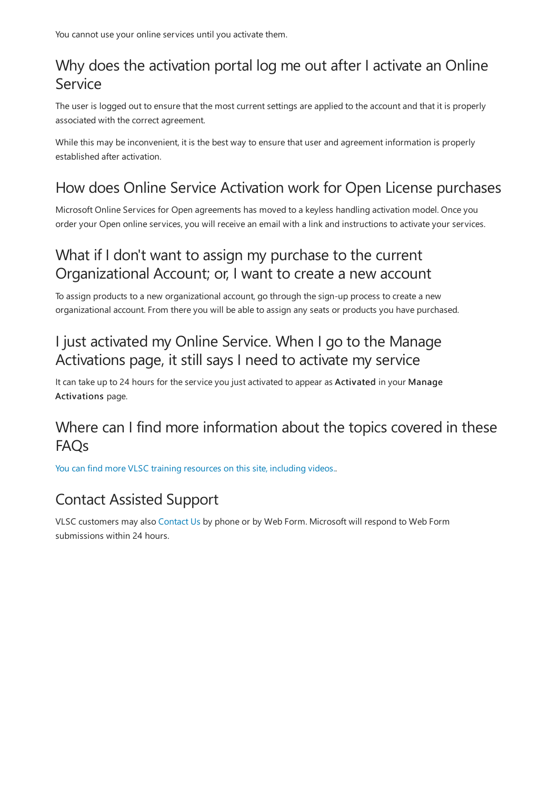# Why does the activation portal log me out after I activate an Online Service

The user is logged out to ensure that the most current settings are applied to the account and that it is properly associated with the correct agreement.

While this may be inconvenient, it is the best way to ensure that user and agreement information is properly established after activation.

# How does Online Service Activation work for Open License purchases

Microsoft Online Services for Open agreements has moved to a keyless handling activation model. Once you order your Open online services, you will receive an email with a link and instructions to activate your services.

# What if I don't want to assign my purchase to the current Organizational Account; or, I want to create a new account

To assign products to a new organizational account, go through the sign-up process to create a new organizational account. From there you will be able to assign any seats or products you have purchased.

### I just activated my Online Service. When I go to the Manage Activations page, it still says I need to activate my service

It can take up to 24 hours for the service you just activated to appear as Activated in your Manage Activations page.

### Where can I find more information about the topics covered in these FAQs

You can find more VLSC training [resources](https://licensingapps.microsoft.com/product-activation) on this site, including videos..

### Contact Assisted Support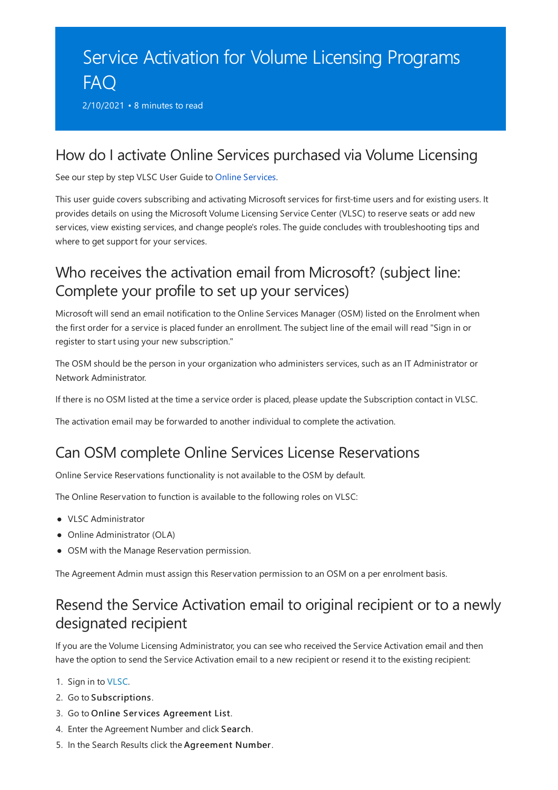# <span id="page-40-0"></span>Service Activation for Volume Licensing Programs FAQ

2/10/2021 • 8 minutes to read

#### How do I activate Online Services purchased via Volume Licensing

See our step by step VLSC User Guide to Online Services.

This user guide covers subscribing and activating Microsoft services for first-time users and for existing users. It provides details on using the Microsoft Volume Licensing Service Center (VLSC) to reserve seats or add new services, view existing services, and change people's roles. The guide concludes with troubleshooting tips and where to get support for your services.

### Who receives the activation email from Microsoft? (subject line: Complete your profile to set up your services)

Microsoft will send an email notification to the Online Services Manager (OSM) listed on the Enrolment when the first order for a service is placed funder an enrollment. The subject line of the email will read "Sign in or register to start using your new subscription."

The OSM should be the person in your organization who administers services, such as an IT Administrator or Network Administrator.

If there is no OSM listed at the time a service order is placed, please update the Subscription contact in VLSC.

The activation email may be forwarded to another individual to complete the activation.

#### Can OSM complete Online Services License Reservations

Online Service Reservations functionality is not available to the OSM by default.

The Online Reservation to function is available to the following roles on VLSC:

- VLSC Administrator
- Online Administrator (OLA)
- OSM with the Manage Reservation permission.

The Agreement Admin must assign this Reservation permission to an OSM on a per enrolment basis.

#### Resend the Service Activation email to original recipient or to a newly designated recipient

If you are the Volume Licensing Administrator, you can see who received the Service Activation email and then have the option to send the Service Activation email to a new recipient or resend it to the existing recipient:

- 1. Sign in to [VLSC](https://www.microsoft.com/Licensing/servicecenter/default.aspx).
- 2. Go to Subscriptions.
- 3. Go to Online Services Agreement List.
- 4. Enter the Agreement Number and click Search.
- 5. In the Search Results click the Agreement Number.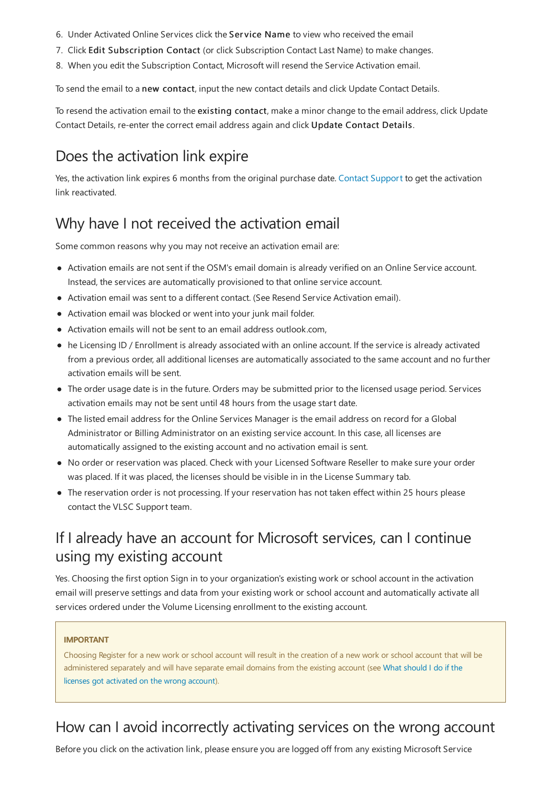- 6. Under Activated Online Services click the Service Name to view who received the email
- 7. Click Edit Subscription Contact (or click Subscription Contact Last Name) to make changes.
- 8. When you edit the Subscription Contact, Microsoft will resend the Service Activation email.

To send the email to a new contact, input the new contact details and click Update Contact Details.

To resend the activation email to the existing contact, make a minor change to the email address, click Update Contact Details, re-enter the correct email address again and click Update Contact Details.

### Does the activation link expire

Yes, the activation link expires 6 months from the original purchase date. Contact Support to get the activation link reactivated.

#### Why have I not received the activation email

Some common reasons why you may not receive an activation email are:

- Activation emails are not sent if the OSM's email domain is already verified on an Online Service account. Instead, the services are automatically provisioned to that online service account.
- Activation email was sent to a different contact. (See Resend Service Activation email).
- Activation email was blocked or went into your junk mail folder.
- Activation emails will not be sent to an email address outlook.com,
- he Licensing ID / Enrollment is already associated with an online account. If the service is already activated from a previous order, all additional licenses are automatically associated to the same account and no further activation emails will be sent.
- The order usage date is in the future. Orders may be submitted prior to the licensed usage period. Services activation emails may not be sent until 48 hours from the usage start date.
- The listed email address for the Online Services Manager is the email address on record for a Global Administrator or Billing Administrator on an existing service account. In this case, all licenses are automatically assigned to the existing account and no activation email is sent.
- No order or reservation was placed. Check with your Licensed Software Reseller to make sure your order was placed. If it was placed, the licenses should be visible in in the License Summary tab.
- The reservation order is not processing. If your reservation has not taken effect within 25 hours please contact the VLSC Support team.

#### If I already have an account for Microsoft services, can I continue using myexisting account

Yes. Choosing the first option Sign in to your organization's existing work or school account in the activation email will preserve settings and data from your existing work or school account and automatically activate all services ordered under the Volume Licensing enrollment to the existing account.

#### **IMPORTANT**

Choosing Register for a new work or school account will result in the creation of a new work or school account that will be administered separately and will have separate email domains from the existing account (see What should I do if the licenses got activated on the wrong account).

### How can I avoid incorrectly activating services on the wrong account

Before you click on the activation link, please ensure you are logged off from any existing Microsoft Service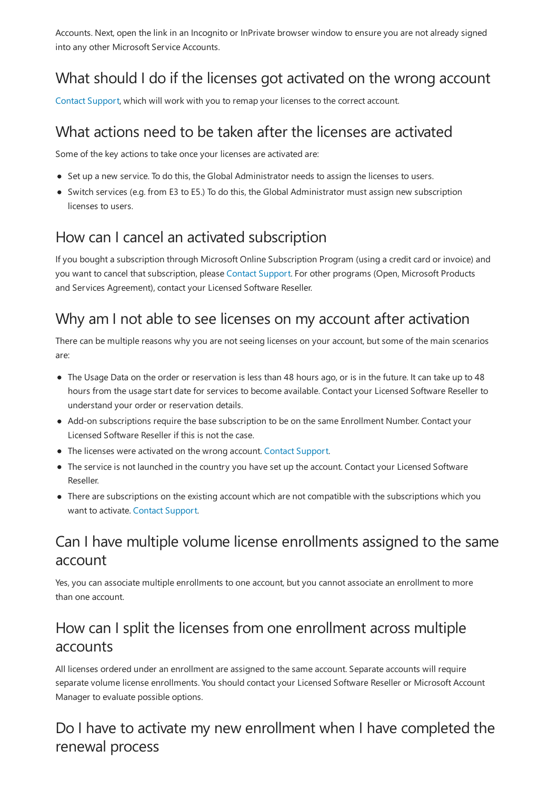Accounts. Next, open the link in an Incognito or InPrivate browser window to ensure you are not already signed into any other Microsoft Service Accounts.

# <span id="page-42-0"></span>What should I do if the licenses got activated on the wrong account

Contact Support, which will work with you to remap your licenses to the correct account.

### What actions need to be taken after the licenses are activated

Some of the key actions to take once your licenses are activated are:

- Set up a new service. To do this, the Global Administrator needs to assign the licenses to users.
- Switch services (e.g. from E3 to E5.) To do this, the Global Administrator must assign new subscription licenses to users.

### How can I cancel an activated subscription

If you bought a subscription through Microsoft Online Subscription Program (using a credit card or invoice) and you want to cancel that subscription, please Contact Support. For other programs (Open, Microsoft Products and Services Agreement), contact your Licensed Software Reseller.

#### Why am I not able to see licenses on my account after activation

There can be multiple reasons why you are not seeing licenses on your account, but some of the main scenarios are:

- The Usage Data on the order or reservation is less than 48 hours ago, or is in the future. It can take up to 48 hours from the usage start date for services to become available. Contact your Licensed Software Reseller to understand your order or reservation details.
- Add-on subscriptions require the base subscription to be on the same Enrollment Number. Contact your Licensed Software Reseller if this is not thecase.
- The licenses were activated on the wrong account. Contact Support.
- The service is not launched in the country you have set up the account. Contact your Licensed Software Reseller.
- There are subscriptions on the existing account which are not compatible with the subscriptions which you want to activate. Contact Support.

# Can I have multiple volume license enrollments assigned to the same account

Yes, you can associate multiple enrollments to one account, but you cannot associate an enrollment to more than one account.

# How can I split the licenses from one enrollment across multiple accounts

All licenses ordered under an enrollment are assigned to the same account. Separate accounts will require separate volume license enrollments. You should contact your Licensed Software Reseller or Microsoft Account Manager to evaluate possible options.

Do I have to activate my new enrollment when I have completed the renewal process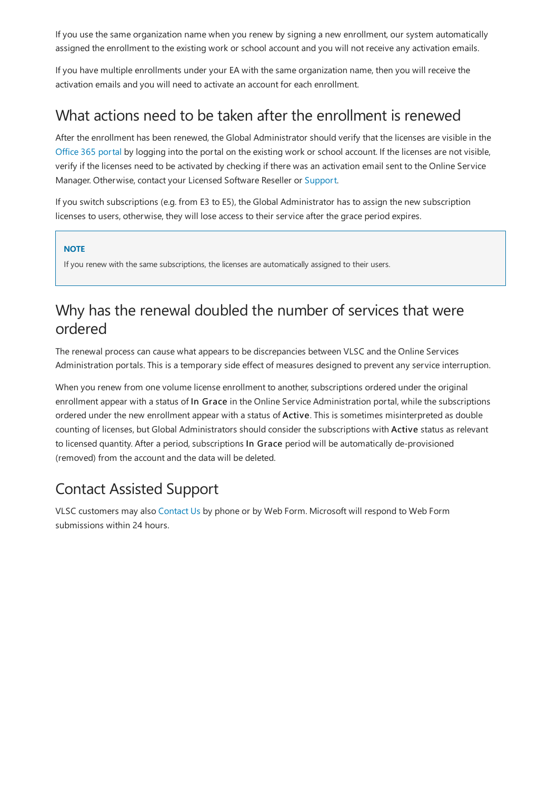If you use the same organization name when you renew by signing a new enrollment, our system automatically assigned the enrollment to the existing work or school account and you will not receive any activation emails.

If you have multiple enrollments under your EA with the same organization name, then you will receive the activation emails and you will need to activate an account for each enrollment.

#### What actions need to be taken after the enrollment is renewed

After the enrollment has been renewed, the Global Administrator should verify that the licenses are visible in the [Office](https://portal.office.com/adminportal/home#/licenses) 365 portal by logging into the portal on the existing work or school account. If the licenses are not visible, verify if the licenses need to be activated by checking if there was an activation email sent to the Online Service Manager. Otherwise, contact your Licensed Software Reseller or [Support](https://docs.microsoft.com/en-us/licensing/contact-us).

If you switch subscriptions (e.g. from E3 to E5), the Global Administrator has to assign the new subscription licenses to users, otherwise, they will lose access to their service after the grace period expires.

#### **NOTE**

If you renew with the same subscriptions, the licenses are automatically assigned to their users.

# Why has the renewal doubled the number of services that were ordered

The renewal process can cause what appears to be discrepancies between VLSC and the Online Services Administration portals. This is a temporary side effect of measures designed to prevent any service interruption.

When you renew from one volume license enrollment to another, subscriptions ordered under the original enrollment appear with a status of In Grace in the Online Service Administration portal, while the subscriptions ordered under the new enrollment appear with a status of Active. This is sometimes misinterpreted as double counting of licenses, but Global Administrators should consider the subscriptions with Active status as relevant to licensed quantity. After a period, subscriptions In Grace period will be automatically de-provisioned (removed) from the account and the data will be deleted.

# Contact Assisted Support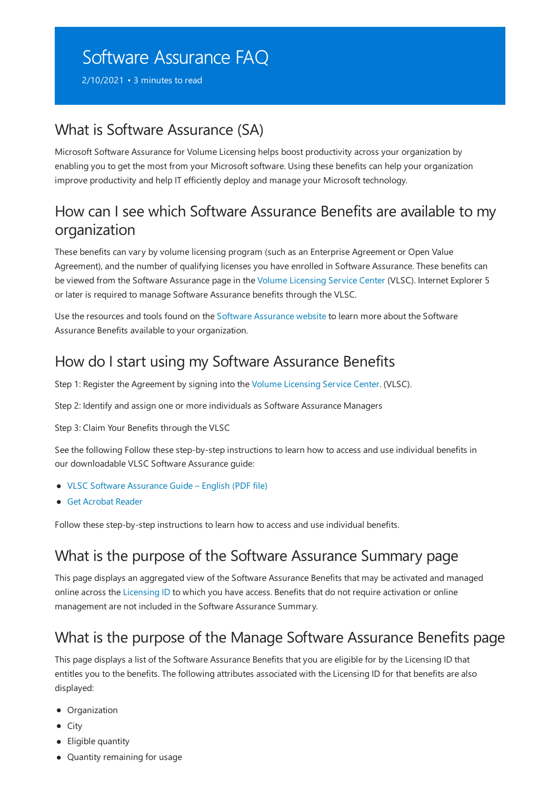# <span id="page-44-0"></span>Software Assurance FAQ

2/10/2021 • 3 minutes to read

#### What is Software Assurance (SA)

Microsoft Software Assurance for Volume Licensing helps boost productivity across your organization by enabling you to get the most from your Microsoft software. Using these benefits can help your organization improve productivity and help IT efficiently deploy and manage your Microsoft technology.

#### How can I see which Software Assurance Benefits are available to my organization

These benefits can vary by volumelicensing program (such as an Enterprise Agreement or Open Value Agreement), and the number of qualifying licenses you have enrolled in Software Assurance. These benefits can be viewed from the Software Assurance page in the Volume Licensing Service Center (VLSC). Internet Explorer 5 or later is required to manage Software Assurance benefits through the VLSC.

Use the resources and tools found on the Software [Assurance](https://www.microsoft.com/licensing/software-assurance/check-your-benefits.aspx) website to learn more about the Software Assurance Benefits available to your organization.

#### How do I start using my Software Assurance Benefits

Step 1: Register the Agreement by signing into the Volume Licensing Service Center. (VLSC).

Step 2: Identify and assign one or more individuals as Software Assurance Managers

Step 3: Claim Your Benefits through the VLSC

See the following Follow these step-by-step instructions to learn how to access and use individual benefits in our downloadable VLSC Software Assurance guide:

- VLSC Software [Assurance](https://www.microsoft.com/download/details.aspx?id=44992) Guide– English (PDF file)
- Get [Acrobat](https://get.adobe.com/reader/) Reader

Follow these step-by-step instructions to learn how to access and use individual benefits.

#### What is the purpose of the Software Assurance Summary page

This page displays an aggregated view of the Software Assurance Benefits that may be activated and managed online across the [Licensing](#page-18-1) ID to which you have access. Benefits that do not require activation or online management are not included in the Software Assurance Summary.

#### What is the purpose of the Manage Software Assurance Benefits page

This page displays a list of the Software Assurance Benefits that you are eligible for by the Licensing ID that entitles you to the benefits. The following attributes associated with the Licensing ID for that benefits are also displayed:

- Organization
- City
- Eligible quantity
- Quantity remaining for usage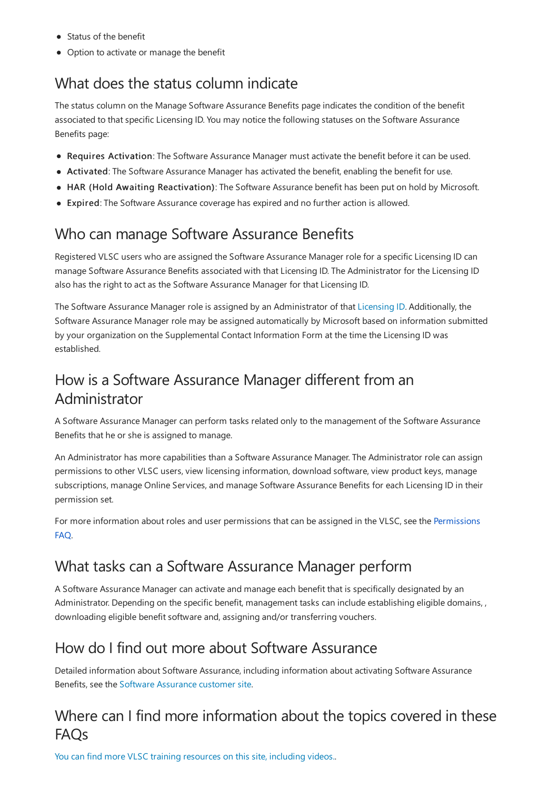- Status of the benefit
- Option to activate or manage the benefit

### What does the status column indicate

The status column on the Manage Software Assurance Benefits page indicates the condition of the benefit associated to that specific Licensing ID. You may notice the following statuses on the Software Assurance Benefits page:

- Requires Activation: The Software Assurance Manager must activate the benefit before it can be used.
- Activated: The Software Assurance Manager has activated the benefit, enabling the benefit for use.
- HAR (Hold Awaiting Reactivation): The Software Assurance benefit has been put on hold by Microsoft.
- Expired: The Software Assurance coverage has expired and no further action is allowed.

#### Who can manage Software Assurance Benefits

Registered VLSC users who are assigned the Software Assurance Manager role for a specific Licensing ID can manage Software Assurance Benefits associated with that Licensing ID. The Administrator for the Licensing ID also has the right to act as the Software Assurance Manager for that Licensing ID.

The Software Assurance Manager role is assigned by an Administrator of that [Licensing](#page-18-1) ID. Additionally, the Software Assurance Manager role may be assigned automatically by Microsoft based on information submitted by your organization on the Supplemental Contact Information Form at the time the Licensing ID was established.

#### How is a Software Assurance Manager different from an Administrator

A Software Assurance Manager can perform tasks related only to the management of the Software Assurance Benefits that he or she is assigned to manage.

An Administrator has more capabilities than a Software Assurance Manager. The Administrator role can assign permissions to other VLSC users, view licensing information, download software, view product keys, manage subscriptions, manage Online Services, and manage Software Assurance Benefits for each Licensing ID in their permission set.

For more information about roles and user permissions that can be assigned in the VLSC, see the Permissions FAQ.

### What tasks can a Software Assurance Manager perform

A Software Assurance Manager can activate and manage each benefit that is specifically designated by an Administrator. Depending on the specific benefit, management tasks can include establishing eligible domains, , downloading eligible benefit software and, assigning and/or transferring vouchers.

#### How do I find out more about Software Assurance

Detailed information about Software Assurance, including information about activating Software Assurance Benefits, see the Software Assurance customer site.

# Where can I find more information about the topics covered in these FAQs

You can find more VLSC training [resources](https://licensingapps.microsoft.com/product-activation) on this site, including videos..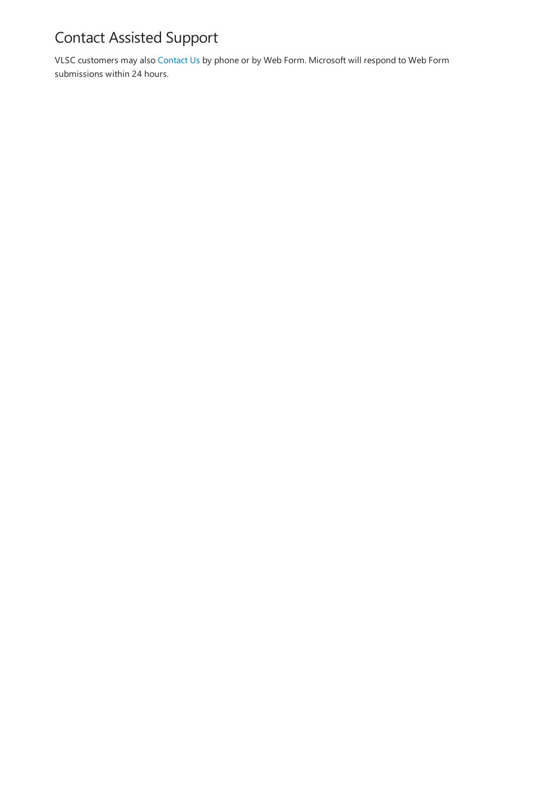# Contact Assisted Support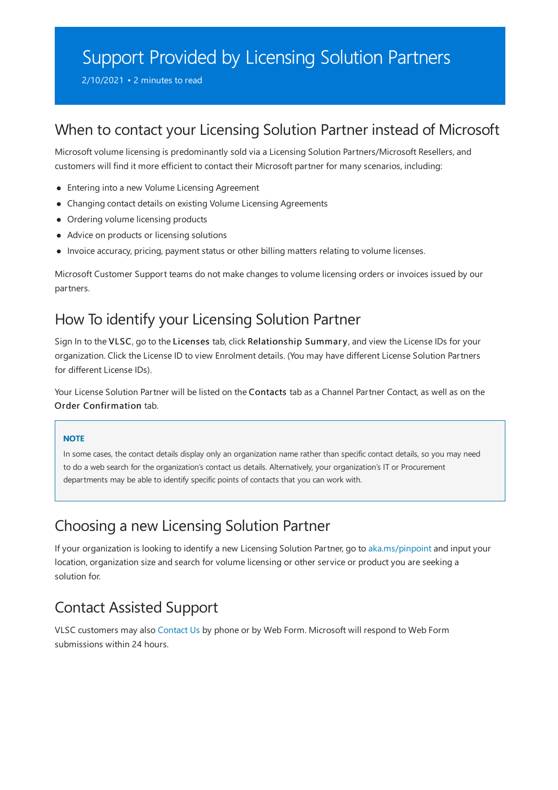# <span id="page-47-0"></span>Support Provided by Licensing Solution Partners

2/10/2021 • 2 minutes to read

#### When to contact your Licensing Solution Partner instead of Microsoft

Microsoft volume licensing is predominantly sold via a Licensing Solution Partners/Microsoft Resellers, and customers will find it more efficient to contact their Microsoft partner for many scenarios, including:

- Entering into a new Volume Licensing Agreement
- Changing contact details on existing Volume Licensing Agreements
- Ordering volume licensing products
- Advice on products or licensing solutions
- Invoice accuracy, pricing, payment status or other billing matters relating to volume licenses.

Microsoft Customer Support teams do not make changes to volume licensing orders or invoices issued by our partners.

#### How To identify your Licensing Solution Partner

Sign In to the VLSC, go to the Licenses tab, click Relationship Summary, and view the License IDs for your organization. Click the License ID to view Enrolment details. (You may have different License Solution Partners for different License IDs).

Your License Solution Partner will be listed on the Contacts tab as a Channel Partner Contact, as well as on the Order Confirmation tab.

#### **NOTE**

In some cases, the contact details display only an organization name rather than specific contact details, so you may need to do a web search for the organization's contact us details. Alternatively, your organization's IT or Procurement departments may be able to identify specific points of contacts that you can work with.

#### Choosing a new Licensing Solution Partner

If your organization is looking to identify a new Licensing Solution Partner, go to [aka.ms/pinpoint](https://aka.ms/pinpoint) and input your location, organization size and search for volume licensing or other service or product you are seeking a solution for.

#### Contact Assisted Support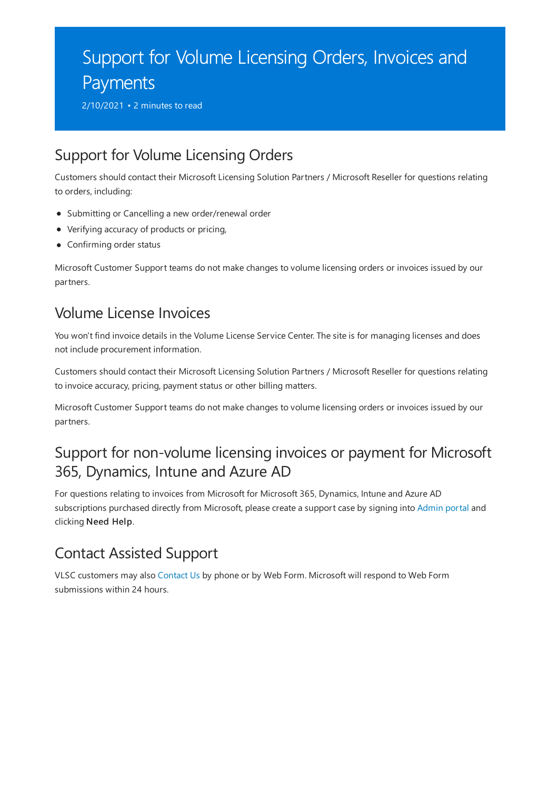# <span id="page-48-0"></span>Support for Volume Licensing Orders, Invoices and Payments

2/10/2021 • 2 minutes to read

#### Support for Volume Licensing Orders

Customers should contact their Microsoft Licensing Solution Partners / Microsoft Reseller for questions relating to orders, including:

- Submitting or Cancelling a new order/renewal order
- Verifying accuracy of products or pricing,
- Confirming order status

Microsoft Customer Support teams do not make changes to volume licensing orders or invoices issued by our partners.

### Volume License Invoices

You won't find invoice details in the Volume License Service Center. The site is for managing licenses and does not include procurement information.

Customers should contact their Microsoft Licensing Solution Partners / Microsoft Reseller for questions relating to invoice accuracy, pricing, payment status or other billing matters.

Microsoft Customer Support teams do not make changes to volume licensing orders or invoices issued by our partners.

# Support for non-volume licensing invoices or payment for Microsoft 365, Dynamics, Intune and Azure AD

For questions relating to invoices from Microsoft for Microsoft 365, Dynamics, Intuneand Azure AD subscriptions purchased directly from Microsoft, please create a support case by signing into [Admin](https://aka.ms/admincenter) portal and clicking Need Help.

### Contact Assisted Support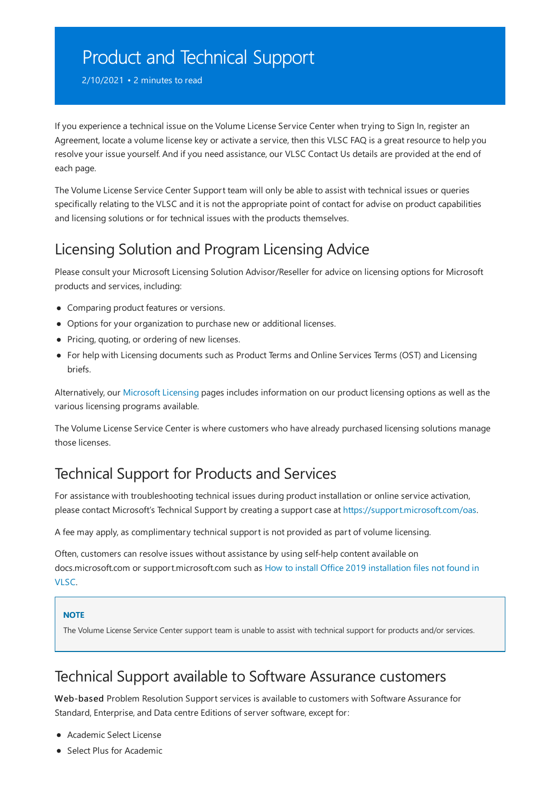# <span id="page-49-0"></span>Product and Technical Support

2/10/2021 • 2 minutes to read

If you experience a technical issue on the Volume License Service Center when trying to Sign In, register an Agreement, locate a volume license key or activate a service, then this VLSC FAQ is a great resource to help you resolve your issue yourself. And if you need assistance, our VLSC Contact Us details are provided at the end of each page.

The Volume License Service Center Support team will only be able to assist with technical issues or queries specifically relating to the VLSC and it is not the appropriate point of contact for advise on product capabilities and licensing solutions or for technical issues with the products themselves.

# Licensing Solution and Program Licensing Advice

Please consult your Microsoft Licensing Solution Advisor/Reseller for advice on licensing options for Microsoft products and services, including:

- Comparing product features or versions.
- Options for your organization to purchase new or additional licenses.
- Pricing, quoting, or ordering of new licenses.
- For help with Licensing documents such as Product Terms and Online Services Terms (OST) and Licensing briefs.

Alternatively, our [Microsoft](https://www.microsoft.com/licensing/default) Licensing pages includes information on our product licensing options as well as the various licensing programs available.

The Volume License Service Center is where customers who have already purchased licensing solutions manage those licenses.

# Technical Support for Products and Services

For assistance with troubleshooting technical issues during product installation or online service activation, please contact Microsoft's Technical Support by creating a support case at <https://support.microsoft.com/oas>.

A fee may apply, as complimentary technical support is not provided as part of volume licensing.

Often, customers can resolve issues without assistance by using self-help content available on docs.microsoft.com or [support.microsoft.com](https://docs.microsoft.com/en-us/office/troubleshoot/installation/how-to-download-office-install-not-in-vlsc) such as How to install Office 2019 installation files not found in VLSC.

#### **NOTE**

The Volume License Service Center support team is unable to assist with technical support for products and/or services.

#### Technical Support available to Software Assurance customers

Web-based Problem Resolution Support services is available to customers with Software Assurance for Standard, Enterprise, and Data centre Editions of server software, except for:

- Academic Select License
- Select Plus for Academic